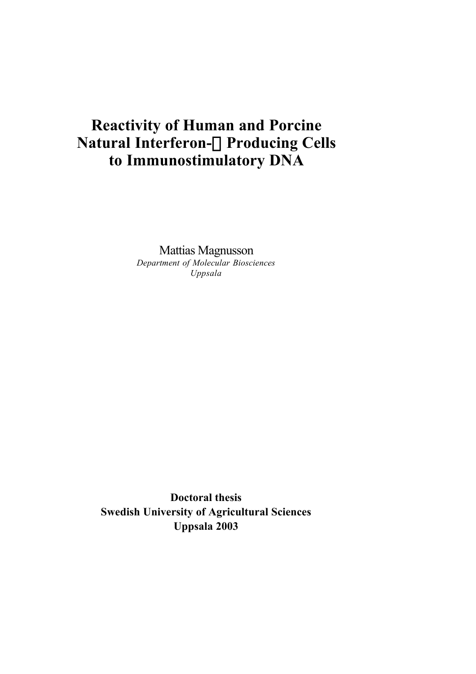# **Reactivity of Human and Porcine Natural Interferon-**a **Producing Cells to Immunostimulatory DNA**

Mattias Magnusson *Department of Molecular Biosciences Uppsala*

**Doctoral thesis Swedish University of Agricultural Sciences Uppsala 2003**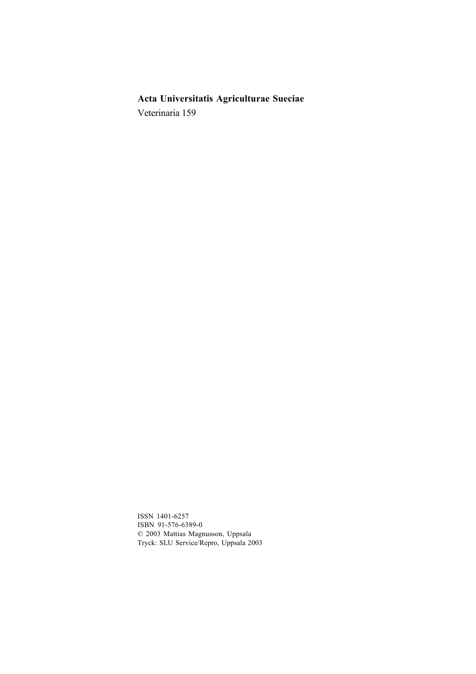# **Acta Universitatis Agriculturae Sueciae**

Veterinaria 159

ISSN 1401-6257 ISBN 91-576-6389-0 © 2003 Mattias Magnusson, Uppsala Tryck: SLU Service/Repro, Uppsala 2003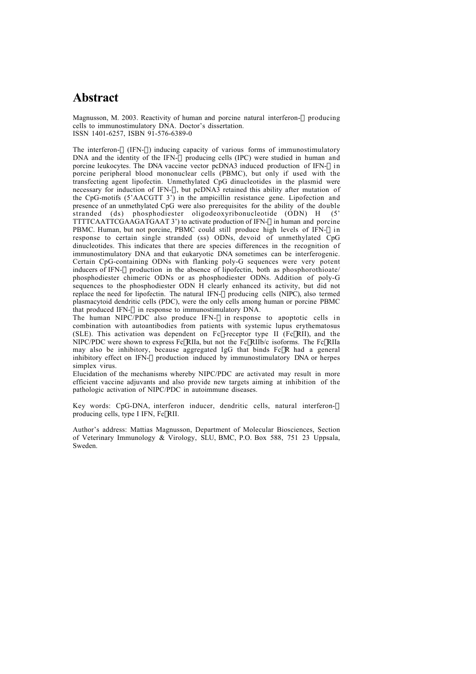# **Abstract**

Magnusson, M. 2003. Reactivity of human and porcine natural interferon- $\alpha$  producing cells to immunostimulatory DNA. Doctor's dissertation. ISSN 1401-6257, ISBN 91-576-6389-0

The interferon- $\alpha$  (IFN- $\alpha$ ) inducing capacity of various forms of immunostimulatory DNA and the identity of the IFN- $\alpha$  producing cells (IPC) were studied in human and porcine leukocytes. The DNA vaccine vector pcDNA3 induced production of IFN- $\alpha$  in porcine peripheral blood mononuclear cells (PBMC), but only if used with the transfecting agent lipofectin. Unmethylated CpG dinucleotides in the plasmid were necessary for induction of IFN- $\alpha$ , but pcDNA3 retained this ability after mutation of the CpG-motifs (5'AACGTT 3') in the ampicillin resistance gene. Lipofection and presence of an unmethylated CpG were also prerequisites for the ability of the double stranded (ds) phosphodiester oligodeoxyribonucleotide (ODN) H  $(5)$  $stranded$  (ds) phosphodiester oligodeoxyribonucleotide (ODN) H TTTTCAATTCGAAGATGAAT 3') to activate production of IFN-a in human and porcine PBMC. Human, but not porcine, PBMC could still produce high levels of IFN- $\alpha$  in response to certain single stranded (ss) ODNs, devoid of unmethylated CpG dinucleotides. This indicates that there are species differences in the recognition of immunostimulatory DNA and that eukaryotic DNA sometimes can be interferogenic. Certain CpG-containing ODNs with flanking poly-G sequences were very potent inducers of IFN- $\alpha$  production in the absence of lipofectin. both as phosphorothioate/ phosphodiester chimeric ODNs or as phosphodiester ODNs. Addition of poly-G sequences to the phosphodiester ODN  $\hat{H}$  clearly enhanced its activity, but did not replace the need for lipofectin. The natural IFN- $\alpha$  producing cells (NIPC), also termed plasmacytoid dendritic cells (PDC), were the only cells among human or porcine PBMC that produced IFN- $\alpha$  in response to immunostimulatory DNA.

The human NIPC/PDC also produce IFN- $\alpha$  in response to apoptotic cells in combination with autoantibodies from patients with systemic lupus erythematosus (SLE). This activation was dependent on Fc $\gamma$ -receptor type II (Fc $\gamma$ RII), and the NIPC/PDC were shown to express Fc $\gamma$ RIIa, but not the Fc $\gamma$ RIIb/c isoforms. The Fc $\gamma$ RIIa may also be inhibitory, because aggregated IgG that binds  $Fc\gamma R$  had a general inhibitory effect on IFN- $\alpha$  production induced by immunostimulatory DNA or herpes simplex virus.

Elucidation of the mechanisms whereby NIPC/PDC are activated may result in more efficient vaccine adjuvants and also provide new targets aiming at inhibition of the pathologic activation of NIPC/PDC in autoimmune diseases.

Key words: CpG-DNA, interferon inducer, dendritic cells, natural interferon- $\alpha$ producing cells, type I IFN, FcyRII.

Author's address: Mattias Magnusson, Department of Molecular Biosciences, Section of Veterinary Immunology & Virology, SLU, BMC, P.O. Box 588, 751 23 Uppsala, Sweden.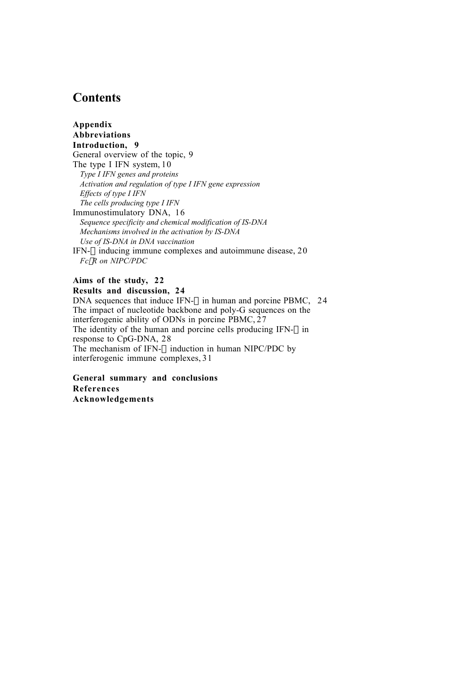# **Contents**

**Appendix Abbreviations Introduction, 9** General overview of the topic, 9 The type I IFN system, 10 *Type I IFN genes and proteins Activation and regulation of type I IFN gene expression Effects of type I IFN The cells producing type I IFN* Immunostimulatory DNA, 16 *Sequence specificity and chemical modification of IS-DNA Mechanisms involved in the activation by IS-DNA Use of IS-DNA in DNA vaccination* IFN- $\alpha$  inducing immune complexes and autoimmune disease, 20 *Fc*g*R on NIPC/PDC*

### **Aims of the study, 22 Results and discussion, 24**

DNA sequences that induce IFN- $\alpha$  in human and porcine PBMC, 24 The impact of nucleotide backbone and poly-G sequences on the interferogenic ability of ODNs in porcine PBMC, 27 The identity of the human and porcine cells producing IFN- $\alpha$  in response to CpG-DNA, 28 The mechanism of IFN- $\alpha$  induction in human NIPC/PDC by interferogenic immune complexes, 31

**General summary and conclusions References Acknowledgements**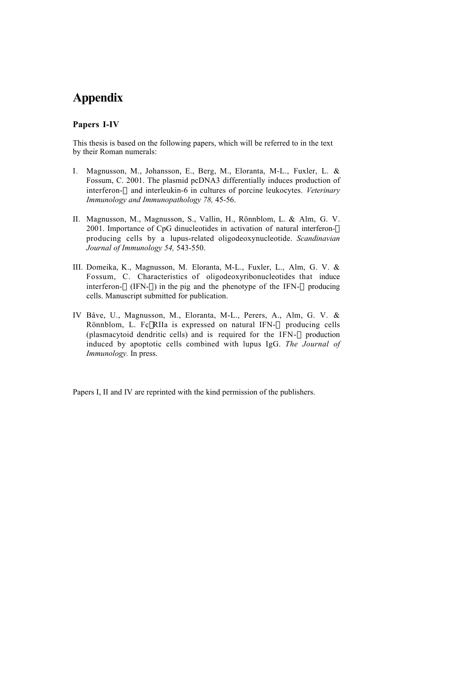# **Appendix**

#### **Papers I-IV**

This thesis is based on the following papers, which will be referred to in the text by their Roman numerals:

- I*.* Magnusson, M., Johansson, E., Berg, M., Eloranta, M-L., Fuxler, L. & Fossum, C. 2001. The plasmid pcDNA3 differentially induces production of interferon- $\alpha$  and interleukin-6 in cultures of porcine leukocytes. *Veterinary Immunology and Immunopathology 78,* 45-56.
- II. Magnusson, M., Magnusson, S., Vallin, H., Rönnblom, L. & Alm, G. V. 2001. Importance of CpG dinucleotides in activation of natural interferon- $\alpha$ producing cells by a lupus-related oligodeoxynucleotide. *Scandinavian Journal of Immunology 54,* 543-550.
- III. Domeika, K., Magnusson, M. Eloranta, M-L., Fuxler, L., Alm, G. V. & Fossum, C. Characteristics of oligodeoxyribonucleotides that induce interferon- $\alpha$  (IFN- $\alpha$ ) in the pig and the phenotype of the IFN- $\alpha$  producing cells. Manuscript submitted for publication.
- IV Båve, U., Magnusson, M., Eloranta, M-L., Perers, A., Alm, G. V. & Rönnblom, L. Fc $\gamma$ RIIa is expressed on natural IFN- $\alpha$  producing cells (plasmacytoid dendritic cells) and is required for the IFN- $\alpha$  production induced by apoptotic cells combined with lupus IgG. *The Journal of Immunology.* In press.

Papers I, II and IV are reprinted with the kind permission of the publishers.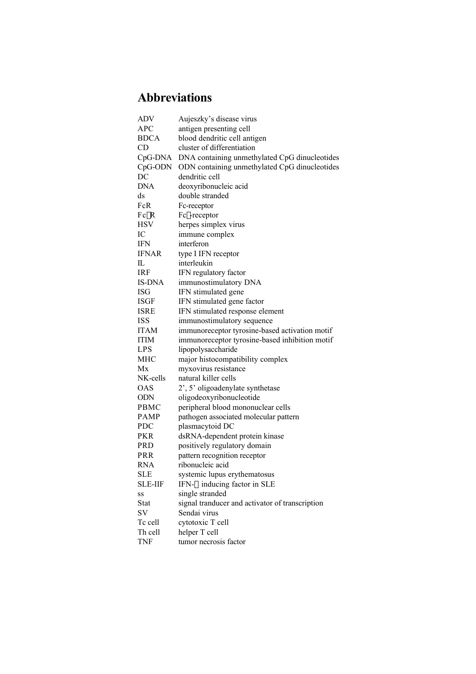# **Abbreviations**

| <b>ADV</b>             | Aujeszky's disease virus                        |  |  |
|------------------------|-------------------------------------------------|--|--|
| <b>APC</b>             | antigen presenting cell                         |  |  |
| <b>BDCA</b>            | blood dendritic cell antigen                    |  |  |
| <b>CD</b>              | cluster of differentiation                      |  |  |
| CpG-DNA                | DNA containing unmethylated CpG dinucleotides   |  |  |
| CpG-ODN                | ODN containing unmethylated CpG dinucleotides   |  |  |
| DC                     | dendritic cell                                  |  |  |
| <b>DNA</b>             | deoxyribonucleic acid                           |  |  |
| $\mathrm{d}\mathrm{s}$ | double stranded                                 |  |  |
| FcR                    | Fc-receptor                                     |  |  |
| $Fc\gamma R$           | Fcγ-receptor                                    |  |  |
| <b>HSV</b>             | herpes simplex virus                            |  |  |
| IC                     | immune complex                                  |  |  |
| IFN                    | interferon                                      |  |  |
| <b>IFNAR</b>           | type I IFN receptor                             |  |  |
| IL                     | interleukin                                     |  |  |
| <b>IRF</b>             | IFN regulatory factor                           |  |  |
| <b>IS-DNA</b>          | immunostimulatory DNA                           |  |  |
| <b>ISG</b>             | IFN stimulated gene                             |  |  |
| <b>ISGF</b>            | IFN stimulated gene factor                      |  |  |
| <b>ISRE</b>            | IFN stimulated response element                 |  |  |
| <b>ISS</b>             | immunostimulatory sequence                      |  |  |
| <b>ITAM</b>            | immunoreceptor tyrosine-based activation motif  |  |  |
| <b>ITIM</b>            | immunoreceptor tyrosine-based inhibition motif  |  |  |
| <b>LPS</b>             | lipopolysaccharide                              |  |  |
| <b>MHC</b>             | major histocompatibility complex                |  |  |
| Mx                     | myxovirus resistance                            |  |  |
| NK-cells               | natural killer cells                            |  |  |
| <b>OAS</b>             | 2', 5' oligoadenylate synthetase                |  |  |
| <b>ODN</b>             | oligodeoxyribonucleotide                        |  |  |
| PBMC                   | peripheral blood mononuclear cells              |  |  |
| <b>PAMP</b>            | pathogen associated molecular pattern           |  |  |
| <b>PDC</b>             | plasmacytoid DC                                 |  |  |
| <b>PKR</b>             | dsRNA-dependent protein kinase                  |  |  |
| <b>PRD</b>             | positively regulatory domain                    |  |  |
| PRR                    | pattern recognition receptor                    |  |  |
| <b>RNA</b>             | ribonucleic acid                                |  |  |
| SLE                    | systemic lupus erythematosus                    |  |  |
| SLE-IIF                | IFN- $\alpha$ inducing factor in SLE            |  |  |
| SS                     | single stranded                                 |  |  |
| <b>Stat</b>            | signal tranducer and activator of transcription |  |  |
| SV                     | Sendai virus                                    |  |  |
| Tc cell                | cytotoxic T cell                                |  |  |
| Th cell                | helper T cell                                   |  |  |
| <b>TNF</b>             | tumor necrosis factor                           |  |  |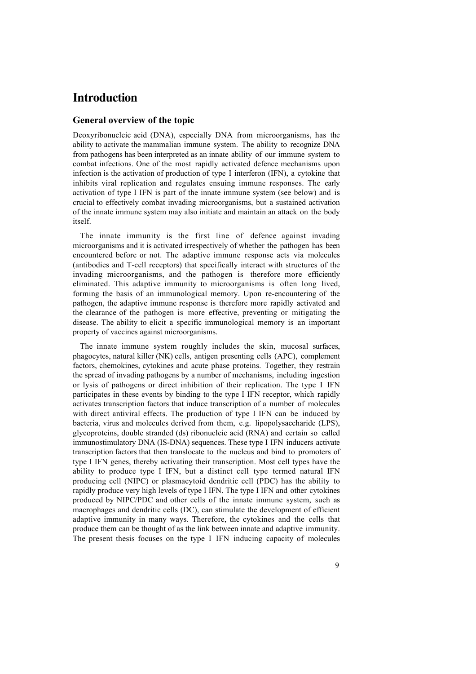# **Introduction**

### **General overview of the topic**

Deoxyribonucleic acid (DNA), especially DNA from microorganisms, has the ability to activate the mammalian immune system. The ability to recognize DNA from pathogens has been interpreted as an innate ability of our immune system to combat infections. One of the most rapidly activated defence mechanisms upon infection is the activation of production of type I interferon (IFN), a cytokine that inhibits viral replication and regulates ensuing immune responses. The early activation of type I IFN is part of the innate immune system (see below) and is crucial to effectively combat invading microorganisms, but a sustained activation of the innate immune system may also initiate and maintain an attack on the body itself.

The innate immunity is the first line of defence against invading microorganisms and it is activated irrespectively of whether the pathogen has been encountered before or not. The adaptive immune response acts via molecules (antibodies and T-cell receptors) that specifically interact with structures of the invading microorganisms, and the pathogen is therefore more efficiently eliminated. This adaptive immunity to microorganisms is often long lived, forming the basis of an immunological memory. Upon re-encountering of the pathogen, the adaptive immune response is therefore more rapidly activated and the clearance of the pathogen is more effective, preventing or mitigating the disease. The ability to elicit a specific immunological memory is an important property of vaccines against microorganisms.

The innate immune system roughly includes the skin, mucosal surfaces, phagocytes, natural killer (NK) cells, antigen presenting cells (APC), complement factors, chemokines, cytokines and acute phase proteins. Together, they restrain the spread of invading pathogens by a number of mechanisms, including ingestion or lysis of pathogens or direct inhibition of their replication. The type I IFN participates in these events by binding to the type I IFN receptor, which rapidly activates transcription factors that induce transcription of a number of molecules with direct antiviral effects. The production of type I IFN can be induced by bacteria, virus and molecules derived from them, e.g. lipopolysaccharide (LPS), glycoproteins, double stranded (ds) ribonucleic acid (RNA) and certain so called immunostimulatory DNA (IS-DNA) sequences. These type I IFN inducers activate transcription factors that then translocate to the nucleus and bind to promoters of type I IFN genes, thereby activating their transcription. Most cell types have the ability to produce type I IFN, but a distinct cell type termed natural IFN producing cell (NIPC) or plasmacytoid dendritic cell (PDC) has the ability to rapidly produce very high levels of type I IFN. The type I IFN and other cytokines produced by NIPC/PDC and other cells of the innate immune system, such as macrophages and dendritic cells (DC), can stimulate the development of efficient adaptive immunity in many ways. Therefore, the cytokines and the cells that produce them can be thought of as the link between innate and adaptive immunity. The present thesis focuses on the type I IFN inducing capacity of molecules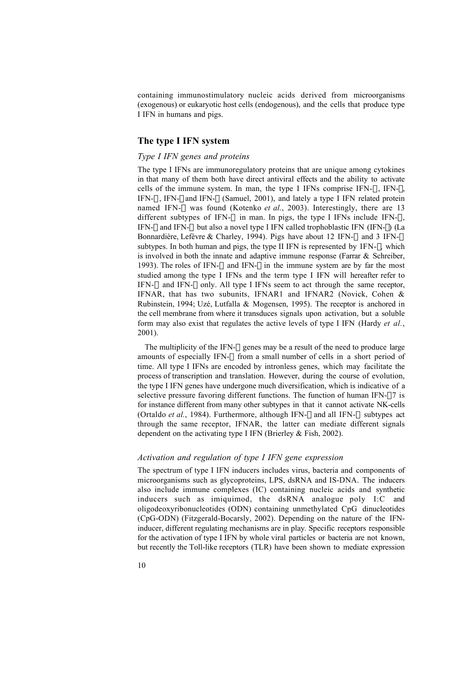containing immunostimulatory nucleic acids derived from microorganisms (exogenous) or eukaryotic host cells (endogenous), and the cells that produce type I IFN in humans and pigs.

#### **The type I IFN system**

### *Type I IFN genes and proteins*

The type I IFNs are immunoregulatory proteins that are unique among cytokines in that many of them both have direct antiviral effects and the ability to activate cells of the immune system. In man, the type I IFNs comprise IFN- $\alpha$ , IFN- $\beta$ , IFN- $\omega$ , IFN- $\varepsilon$  and IFN- $\kappa$  (Samuel, 2001), and lately a type I IFN related protein named IFN-λ was found (Kotenko *et al.*, 2003). Interestingly, there are 13 different subtypes of IFN- $\alpha$  in man. In pigs, the type I IFNs include IFN- $\alpha$ , IFN- $\beta$  and IFN- $\omega$  but also a novel type I IFN called trophoblastic IFN (IFN- $\delta$ ) (La Bonnardière, Lefèvre & Charley, 1994). Pigs have about 12 IFN- $\alpha$  and 3 IFN- $\omega$ subtypes. In both human and pigs, the type II IFN is represented by  $IFN-\gamma$ , which is involved in both the innate and adaptive immune response (Farrar & Schreiber, 1993). The roles of IFN- $\alpha$  and IFN- $\beta$  in the immune system are by far the most studied among the type I IFNs and the term type I IFN will hereafter refer to IFN- $\alpha$  and IFN- $\beta$  only. All type I IFNs seem to act through the same receptor, IFNAR, that has two subunits, IFNAR1 and IFNAR2 (Novick, Cohen & Rubinstein, 1994; Uzé, Lutfalla & Mogensen, 1995). The receptor is anchored in the cell membrane from where it transduces signals upon activation, but a soluble form may also exist that regulates the active levels of type I IFN (Hardy *et al.*, 2001).

The multiplicity of the IFN- $\alpha$  genes may be a result of the need to produce large amounts of especially IFN- $\alpha$  from a small number of cells in a short period of time. All type I IFNs are encoded by intronless genes, which may facilitate the process of transcription and translation. However, during the course of evolution, the type I IFN genes have undergone much diversification, which is indicative of a selective pressure favoring different functions. The function of human IFN- $\alpha$ 7 is for instance different from many other subtypes in that it cannot activate NK-cells (Ortaldo *et al.*, 1984). Furthermore, although IFN- $\beta$  and all IFN- $\alpha$  subtypes act through the same receptor, IFNAR, the latter can mediate different signals dependent on the activating type I IFN (Brierley & Fish, 2002).

#### *Activation and regulation of type I IFN gene expression*

The spectrum of type I IFN inducers includes virus, bacteria and components of microorganisms such as glycoproteins, LPS, dsRNA and IS-DNA. The inducers also include immune complexes (IC) containing nucleic acids and synthetic inducers such as imiquimod, the dsRNA analogue poly I:C and oligodeoxyribonucleotides (ODN) containing unmethylated CpG dinucleotides (CpG-ODN) (Fitzgerald-Bocarsly, 2002). Depending on the nature of the IFNinducer, different regulating mechanisms are in play*.* Specific receptors responsible for the activation of type I IFN by whole viral particles or bacteria are not known, but recently the Toll-like receptors (TLR) have been shown to mediate expression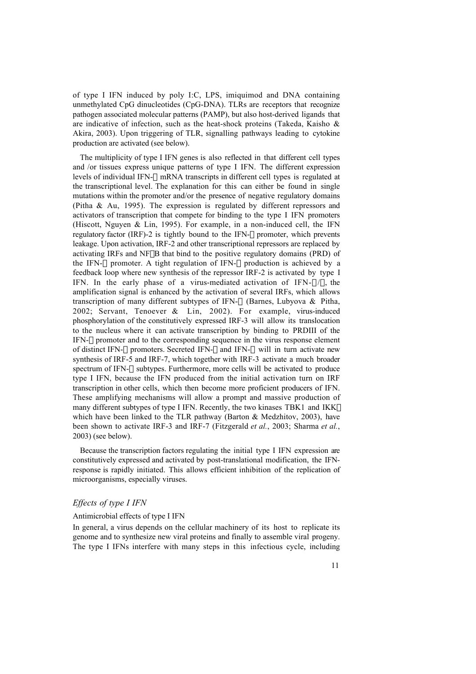of type I IFN induced by poly I:C, LPS, imiquimod and DNA containing unmethylated CpG dinucleotides (CpG-DNA). TLRs are receptors that recognize pathogen associated molecular patterns (PAMP), but also host-derived ligands that are indicative of infection, such as the heat-shock proteins (Takeda, Kaisho & Akira, 2003). Upon triggering of TLR, signalling pathways leading to cytokine production are activated (see below).

The multiplicity of type I IFN genes is also reflected in that different cell types and /or tissues express unique patterns of type I IFN. The different expression levels of individual IFN- $\alpha$  mRNA transcripts in different cell types is regulated at the transcriptional level. The explanation for this can either be found in single mutations within the promoter and/or the presence of negative regulatory domains (Pitha & Au, 1995). The expression is regulated by different repressors and activators of transcription that compete for binding to the type I IFN promoters (Hiscott, Nguyen  $& Lin, 1995$ ). For example, in a non-induced cell, the IFN regulatory factor (IRF)-2 is tightly bound to the IFN-b promoter, which prevents leakage. Upon activation, IRF-2 and other transcriptional repressors are replaced by activating IRFs and NFkB that bind to the positive regulatory domains (PRD) of the IFN- $\beta$  promoter. A tight regulation of IFN- $\beta$  production is achieved by a feedback loop where new synthesis of the repressor IRF-2 is activated by type I IFN. In the early phase of a virus-mediated activation of IFN- $\alpha/\beta$ , the amplification signal is enhanced by the activation of several IRFs, which allows transcription of many different subtypes of IFN- $\alpha$  (Barnes, Lubyova & Pitha, 2002; Servant, Tenoever & Lin, 2002). For example, virus-induced phosphorylation of the constitutively expressed IRF-3 will allow its translocation to the nucleus where it can activate transcription by binding to PRDIII of the  $IFN-\beta$  promoter and to the corresponding sequence in the virus response element of distinct IFN- $\alpha$  promoters. Secreted IFN- $\beta$  and IFN- $\alpha$  will in turn activate new synthesis of IRF-5 and IRF-7, which together with IRF-3 activate a much broader spectrum of IFN- $\alpha$  subtypes. Furthermore, more cells will be activated to produce type I IFN, because the IFN produced from the initial activation turn on IRF transcription in other cells, which then become more proficient producers of IFN. These amplifying mechanisms will allow a prompt and massive production of many different subtypes of type I IFN. Recently, the two kinases TBK1 and IKK $\epsilon$ which have been linked to the TLR pathway (Barton  $\&$  Medzhitov, 2003), have been shown to activate IRF-3 and IRF-7 (Fitzgerald *et al.*, 2003; Sharma *et al.*, 2003) (see below).

Because the transcription factors regulating the initial type I IFN expression are constitutively expressed and activated by post-translational modification, the IFNresponse is rapidly initiated. This allows efficient inhibition of the replication of microorganisms, especially viruses.

### *Effects of type I IFN*

#### Antimicrobial effects of type I IFN

In general, a virus depends on the cellular machinery of its host to replicate its genome and to synthesize new viral proteins and finally to assemble viral progeny. The type I IFNs interfere with many steps in this infectious cycle, including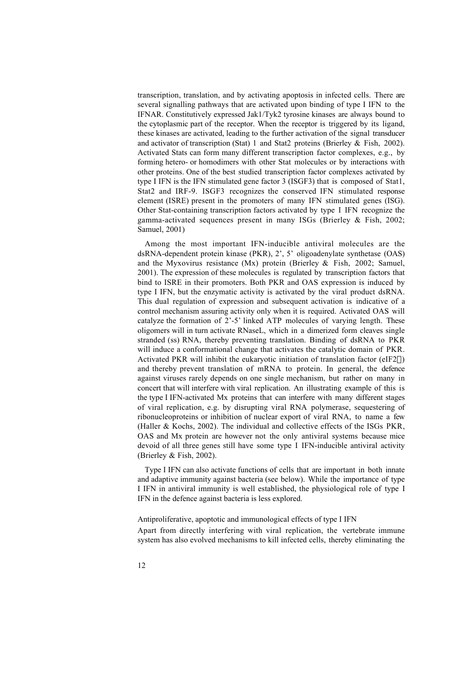transcription, translation, and by activating apoptosis in infected cells. There are several signalling pathways that are activated upon binding of type I IFN to the IFNAR. Constitutively expressed Jak1/Tyk2 tyrosine kinases are always bound to the cytoplasmic part of the receptor. When the receptor is triggered by its ligand, these kinases are activated, leading to the further activation of the signal transducer and activator of transcription (Stat) 1 and Stat2 proteins (Brierley & Fish, 2002). Activated Stats can form many different transcription factor complexes, e.g., by forming hetero- or homodimers with other Stat molecules or by interactions with other proteins. One of the best studied transcription factor complexes activated by type I IFN is the IFN stimulated gene factor 3 (ISGF3) that is composed of Stat1, Stat2 and IRF-9. ISGF3 recognizes the conserved IFN stimulated response element (ISRE) present in the promoters of many IFN stimulated genes (ISG). Other Stat-containing transcription factors activated by type I IFN recognize the gamma-activated sequences present in many ISGs (Brierley & Fish, 2002; Samuel, 2001)

Among the most important IFN-inducible antiviral molecules are the dsRNA-dependent protein kinase (PKR), 2', 5' oligoadenylate synthetase (OAS) and the Myxovirus resistance (Mx) protein (Brierley & Fish, 2002; Samuel, 2001). The expression of these molecules is regulated by transcription factors that bind to ISRE in their promoters. Both PKR and OAS expression is induced by type I IFN, but the enzymatic activity is activated by the viral product dsRNA. This dual regulation of expression and subsequent activation is indicative of a control mechanism assuring activity only when it is required. Activated OAS will catalyze the formation of 2'-5' linked ATP molecules of varying length. These oligomers will in turn activate RNaseL, which in a dimerized form cleaves single stranded (ss) RNA, thereby preventing translation. Binding of dsRNA to PKR will induce a conformational change that activates the catalytic domain of PKR. Activated PKR will inhibit the eukaryotic initiation of translation factor (eIF2 $\alpha$ ) and thereby prevent translation of mRNA to protein. In general, the defence against viruses rarely depends on one single mechanism, but rather on many in concert that will interfere with viral replication. An illustrating example of this is the type I IFN-activated Mx proteins that can interfere with many different stages of viral replication, e.g. by disrupting viral RNA polymerase, sequestering of ribonucleoproteins or inhibition of nuclear export of viral RNA, to name a few (Haller & Kochs, 2002). The individual and collective effects of the ISGs PKR, OAS and Mx protein are however not the only antiviral systems because mice devoid of all three genes still have some type I IFN-inducible antiviral activity (Brierley & Fish, 2002).

Type I IFN can also activate functions of cells that are important in both innate and adaptive immunity against bacteria (see below). While the importance of type I IFN in antiviral immunity is well established, the physiological role of type I IFN in the defence against bacteria is less explored.

Antiproliferative, apoptotic and immunological effects of type I IFN Apart from directly interfering with viral replication, the vertebrate immune system has also evolved mechanisms to kill infected cells, thereby eliminating the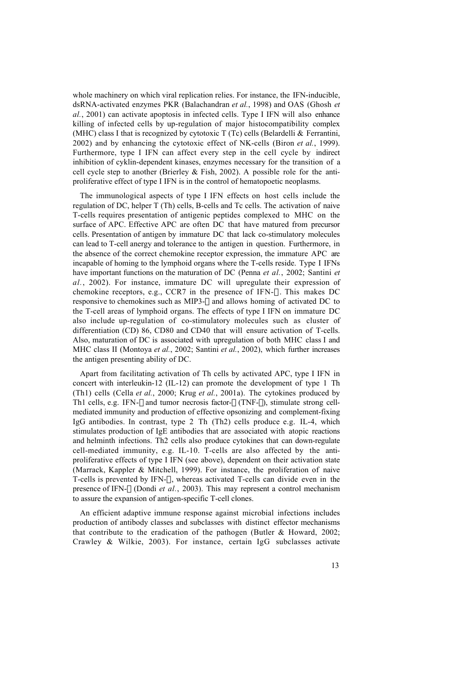whole machinery on which viral replication relies. For instance, the IFN-inducible, dsRNA-activated enzymes PKR (Balachandran *et al.*, 1998) and OAS (Ghosh *et al.*, 2001) can activate apoptosis in infected cells. Type I IFN will also enhance killing of infected cells by up-regulation of major histocompatibility complex (MHC) class I that is recognized by cytotoxic  $T(Tc)$  cells (Belardelli & Ferrantini, 2002) and by enhancing the cytotoxic effect of NK-cells (Biron *et al.*, 1999). Furthermore, type I IFN can affect every step in the cell cycle by indirect inhibition of cyklin-dependent kinases, enzymes necessary for the transition of a cell cycle step to another (Brierley  $&$  Fish, 2002). A possible role for the antiproliferative effect of type I IFN is in the control of hematopoetic neoplasms.

The immunological aspects of type I IFN effects on host cells include the regulation of DC, helper T (Th) cells, B-cells and Tc cells. The activation of naive T-cells requires presentation of antigenic peptides complexed to MHC on the surface of APC. Effective APC are often DC that have matured from precursor cells. Presentation of antigen by immature DC that lack co-stimulatory molecules can lead to T-cell anergy and tolerance to the antigen in question. Furthermore, in the absence of the correct chemokine receptor expression, the immature APC are incapable of homing to the lymphoid organs where the T-cells reside. Type I IFNs have important functions on the maturation of DC (Penna *et al.*, 2002; Santini *et al.*, 2002). For instance, immature DC will upregulate their expression of chemokine receptors, e.g., CCR7 in the presence of IFN- $\alpha$ . This makes DC responsive to chemokines such as MIP3- $\beta$  and allows homing of activated DC to the T-cell areas of lymphoid organs. The effects of type I IFN on immature DC also include up-regulation of co-stimulatory molecules such as cluster of differentiation (CD) 86, CD80 and CD40 that will ensure activation of T-cells. Also, maturation of DC is associated with upregulation of both MHC class I and MHC class II (Montoya *et al.*, 2002; Santini *et al.*, 2002), which further increases the antigen presenting ability of DC.

Apart from facilitating activation of Th cells by activated APC, type I IFN in concert with interleukin-12 (IL-12) can promote the development of type 1 Th (Th1) cells (Cella *et al.*, 2000; Krug *et al.*, 2001a). The cytokines produced by Th1 cells, e.g. IFN- $\gamma$  and tumor necrosis factor- $\beta$  (TNF- $\beta$ ), stimulate strong cellmediated immunity and production of effective opsonizing and complement-fixing IgG antibodies. In contrast, type 2 Th (Th2) cells produce e.g. IL-4, which stimulates production of IgE antibodies that are associated with atopic reactions and helminth infections. Th2 cells also produce cytokines that can down-regulate cell-mediated immunity, e.g. IL-10. T-cells are also affected by the antiproliferative effects of type I IFN (see above), dependent on their activation state (Marrack, Kappler & Mitchell, 1999). For instance, the proliferation of naive T-cells is prevented by IFN- $\alpha$ , whereas activated T-cells can divide even in the presence of IFN- $\alpha$  (Dondi *et al.*, 2003). This may represent a control mechanism to assure the expansion of antigen-specific T-cell clones.

An efficient adaptive immune response against microbial infections includes production of antibody classes and subclasses with distinct effector mechanisms that contribute to the eradication of the pathogen (Butler & Howard, 2002; Crawley & Wilkie, 2003). For instance, certain IgG subclasses activate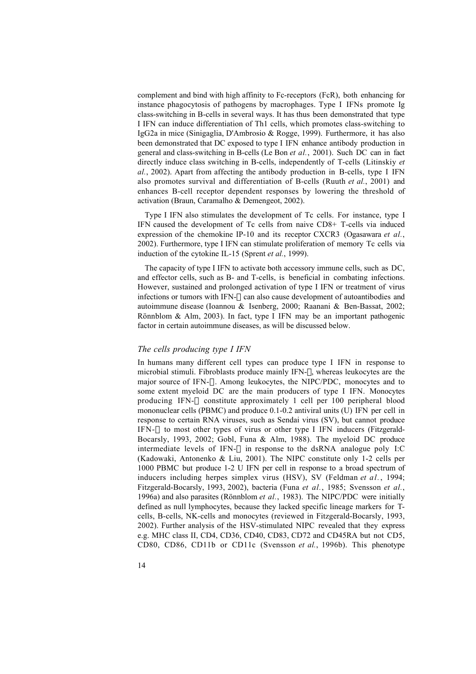complement and bind with high affinity to Fc-receptors (FcR), both enhancing for instance phagocytosis of pathogens by macrophages. Type I IFNs promote Ig class-switching in B-cells in several ways. It has thus been demonstrated that type I IFN can induce differentiation of Th1 cells, which promotes class-switching to IgG2a in mice (Sinigaglia, D'Ambrosio & Rogge, 1999). Furthermore, it has also been demonstrated that DC exposed to type I IFN enhance antibody production in general and class-switching in B-cells (Le Bon *et al.*, 2001). Such DC can in fact directly induce class switching in B-cells, independently of T-cells (Litinskiy *et al.*, 2002). Apart from affecting the antibody production in B-cells, type I IFN also promotes survival and differentiation of B-cells (Ruuth *et al.*, 2001) and enhances B-cell receptor dependent responses by lowering the threshold of activation (Braun, Caramalho & Demengeot, 2002).

Type I IFN also stimulates the development of Tc cells. For instance, type I IFN caused the development of Tc cells from naive CD8+ T-cells via induced expression of the chemokine IP-10 and its receptor CXCR3 (Ogasawara *et al.*, 2002). Furthermore, type I IFN can stimulate proliferation of memory Tc cells via induction of the cytokine IL-15 (Sprent *et al.*, 1999).

The capacity of type I IFN to activate both accessory immune cells, such as DC, and effector cells, such as B- and T-cells, is beneficial in combating infections. However, sustained and prolonged activation of type I IFN or treatment of virus infections or tumors with IFN- $\alpha$  can also cause development of autoantibodies and autoimmune disease (Ioannou & Isenberg, 2000; Raanani & Ben-Bassat, 2002; Rönnblom & Alm, 2003). In fact, type I IFN may be an important pathogenic factor in certain autoimmune diseases, as will be discussed below.

#### *The cells producing type I IFN*

In humans many different cell types can produce type I IFN in response to microbial stimuli. Fibroblasts produce mainly IFN- $\beta$ , whereas leukocytes are the major source of IFN- $\alpha$ . Among leukocytes, the NIPC/PDC, monocytes and to some extent myeloid DC are the main producers of type I IFN. Monocytes producing IFN- $\alpha$  constitute approximately 1 cell per 100 peripheral blood mononuclear cells (PBMC) and produce 0.1-0.2 antiviral units (U) IFN per cell in response to certain RNA viruses, such as Sendai virus (SV), but cannot produce IFN- $\alpha$  to most other types of virus or other type I IFN inducers (Fitzgerald-Bocarsly, 1993, 2002; Gobl, Funa & Alm, 1988). The myeloid DC produce intermediate levels of IFN- $\alpha$  in response to the dsRNA analogue poly I:C (Kadowaki, Antonenko & Liu, 2001). The NIPC constitute only 1-2 cells per 1000 PBMC but produce 1-2 U IFN per cell in response to a broad spectrum of inducers including herpes simplex virus (HSV), SV (Feldman *et al.*, 1994; Fitzgerald-Bocarsly, 1993, 2002), bacteria (Funa *et al.*, 1985; Svensson *et al.*, 1996a) and also parasites (Rönnblom *et al.*, 1983). The NIPC/PDC were initially defined as null lymphocytes, because they lacked specific lineage markers for Tcells, B-cells, NK-cells and monocytes (reviewed in Fitzgerald-Bocarsly, 1993, 2002). Further analysis of the HSV-stimulated NIPC revealed that they express e.g. MHC class II, CD4, CD36, CD40, CD83, CD72 and CD45RA but not CD5, CD80, CD86, CD11b or CD11c (Svensson *et al.*, 1996b). This phenotype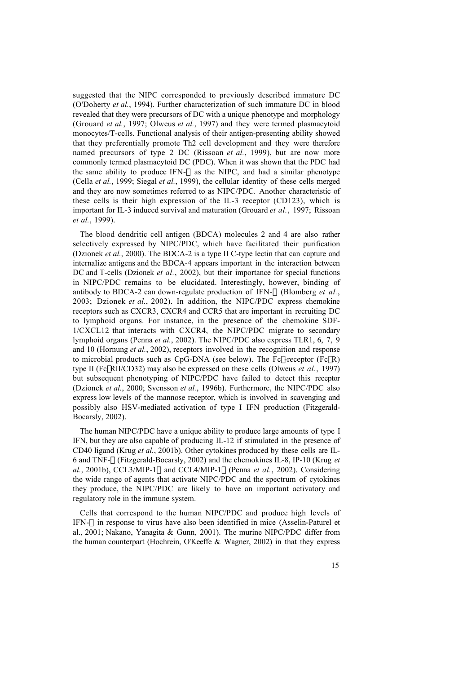suggested that the NIPC corresponded to previously described immature DC (O'Doherty *et al.*, 1994). Further characterization of such immature DC in blood revealed that they were precursors of DC with a unique phenotype and morphology (Grouard *et al.*, 1997; Olweus *et al.*, 1997) and they were termed plasmacytoid monocytes/T-cells. Functional analysis of their antigen-presenting ability showed that they preferentially promote Th2 cell development and they were therefore named precursors of type 2 DC (Rissoan *et al.*, 1999), but are now more commonly termed plasmacytoid DC (PDC). When it was shown that the PDC had the same ability to produce IFN- $\alpha$  as the NIPC, and had a similar phenotype (Cella *et al.*, 1999; Siegal *et al.*, 1999), the cellular identity of these cells merged and they are now sometimes referred to as NIPC/PDC. Another characteristic of these cells is their high expression of the IL-3 receptor (CD123), which is important for IL-3 induced survival and maturation (Grouard *et al.*, 1997; Rissoan *et al.*, 1999).

The blood dendritic cell antigen (BDCA) molecules 2 and 4 are also rather selectively expressed by NIPC/PDC, which have facilitated their purification (Dzionek *et al.*, 2000). The BDCA-2 is a type II C-type lectin that can capture and internalize antigens and the BDCA-4 appears important in the interaction between DC and T-cells (Dzionek *et al.*, 2002), but their importance for special functions in NIPC/PDC remains to be elucidated. Interestingly, however, binding of antibody to BDCA-2 can down-regulate production of IFN-a (Blomberg *et al.*, 2003; Dzionek *et al.*, 2002). In addition, the NIPC/PDC express chemokine receptors such as CXCR3, CXCR4 and CCR5 that are important in recruiting DC to lymphoid organs. For instance, in the presence of the chemokine SDF-1/CXCL12 that interacts with CXCR4, the NIPC/PDC migrate to secondary lymphoid organs (Penna *et al.*, 2002). The NIPC/PDC also express TLR1, 6, 7, 9 and 10 (Hornung *et al.*, 2002), receptors involved in the recognition and response to microbial products such as  $CpG-DNA$  (see below). The Fcy-receptor (FcyR) type II (FcγRII/CD32) may also be expressed on these cells (Olweus *et al.*, 1997) but subsequent phenotyping of NIPC/PDC have failed to detect this receptor (Dzionek *et al.*, 2000; Svensson *et al.*, 1996b). Furthermore, the NIPC/PDC also express low levels of the mannose receptor, which is involved in scavenging and possibly also HSV-mediated activation of type I IFN production (Fitzgerald-Bocarsly, 2002).

The human NIPC/PDC have a unique ability to produce large amounts of type I IFN, but they are also capable of producing IL-12 if stimulated in the presence of CD40 ligand (Krug *et al.*, 2001b). Other cytokines produced by these cells are IL-6 and TNF-a (Fitzgerald-Bocarsly, 2002) and the chemokines IL-8, IP-10 (Krug *et*  $al.$ , 2001b), CCL3/MIP-1 $\alpha$  and CCL4/MIP-1 $\beta$  (Penna *et al.*, 2002). Considering the wide range of agents that activate NIPC/PDC and the spectrum of cytokines they produce, the NIPC/PDC are likely to have an important activatory and regulatory role in the immune system.

Cells that correspond to the human NIPC/PDC and produce high levels of IFN- $\alpha$  in response to virus have also been identified in mice (Asselin-Paturel et al., 2001; Nakano, Yanagita & Gunn, 2001). The murine NIPC/PDC differ from the human counterpart (Hochrein, O'Keeffe & Wagner, 2002) in that they express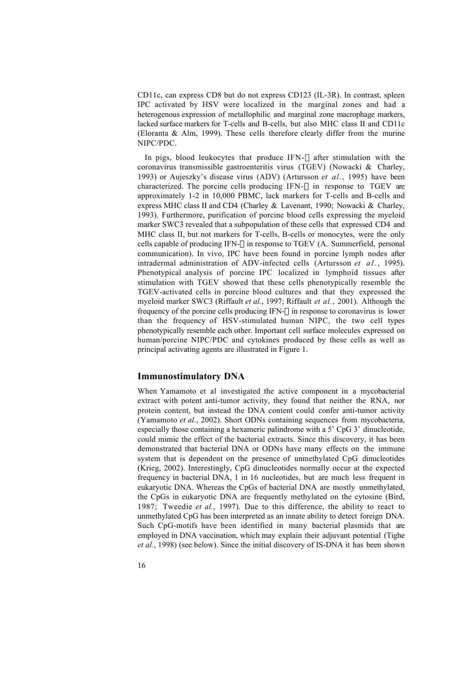CD11c, can express CD8 but do not express CD123 (IL-3R). In contrast, spleen IPC activated by HSV were localized in the marginal zones and had a heterogenous expression of metallophilic and marginal zone macrophage markers, lacked surface markers for T-cells and B-cells, but also MHC class II and CD11c (Eloranta & Alm, 1999). These cells therefore clearly differ from the murine NIPC/PDC.

In pigs, blood leukocytes that produce IFN- $\alpha$  after stimulation with the coronavirus transmissible gastroenteritis virus (TGEV) (Nowacki & Charley, 1993) or Aujeszky's disease virus (ADV) (Artursson *et al.*, 1995) have been characterized. The porcine cells producing IFN- $\alpha$  in response to TGEV are approximately 1-2 in 10,000 PBMC, lack markers for T-cells and B-cells and express MHC class II and CD4 (Charley & Lavenant, 1990; Nowacki & Charley, 1993). Furthermore, purification of porcine blood cells expressing the myeloid marker SWC3 revealed that a subpopulation of these cells that expressed CD4 and MHC class II, but not markers for T-cells, B-cells or monocytes, were the only cells capable of producing IFN- $\alpha$  in response to TGEV (A. Summerfield, personal communication). In vivo, IPC have been found in porcine lymph nodes after intradermal administration of ADV-infected cells (Artursson *et al.* , 1995). Phenotypical analysis of porcine IPC localized in lymphoid tissues after stimulation with TGEV showed that these cells phenotypically resemble the TGEV-activated cells in porcine blood cultures and that they expressed the myeloid marker SWC3 (Riffault *et al.*, 1997; Riffault *et al.*, 2001). Although the frequency of the porcine cells producing IFN- $\alpha$  in response to coronavirus is lower than the frequency of HSV-stimulated human NIPC, the two cell types phenotypically resemble each other. Important cell surface molecules expressed on human/porcine NIPC/PDC and cytokines produced by these cells as well as principal activating agents are illustrated in Figure 1.

#### **Immunostimulatory DNA**

When Yamamoto et al investigated the active component in a mycobacterial extract with potent anti-tumor activity, they found that neither the RNA, nor protein content, but instead the DNA content could confer anti-tumor activity (Yamamoto *et al.*, 2002). Short ODNs containing sequences from mycobacteria, especially those containing a hexameric palindrome with a 5' CpG 3' dinucleotide, could mimic the effect of the bacterial extracts. Since this discovery, it has been demonstrated that bacterial DNA or ODNs have many effects on the immune system that is dependent on the presence of unmethylated CpG dinucleotides (Krieg, 2002). Interestingly, CpG dinucleotides normally occur at the expected frequency in bacterial DNA, 1 in 16 nucleotides, but are much less frequent in eukaryotic DNA. Whereas the CpGs of bacterial DNA are mostly unmethylated, the CpGs in eukaryotic DNA are frequently methylated on the cytosine (Bird, 1987; Tweedie *et al.*, 1997). Due to this difference, the ability to react to unmethylated CpG has been interpreted as an innate ability to detect foreign DNA. Such CpG-motifs have been identified in many bacterial plasmids that are employed in DNA vaccination, which may explain their adjuvant potential (Tighe *et al.*, 1998) (see below). Since the initial discovery of IS-DNA it has been shown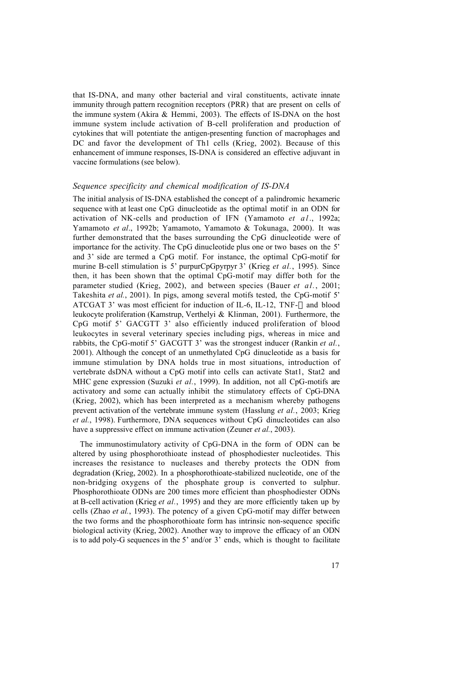that IS-DNA, and many other bacterial and viral constituents, activate innate immunity through pattern recognition receptors (PRR) that are present on cells of the immune system (Akira & Hemmi, 2003). The effects of IS-DNA on the host immune system include activation of B-cell proliferation and production of cytokines that will potentiate the antigen-presenting function of macrophages and DC and favor the development of Th1 cells (Krieg, 2002). Because of this enhancement of immune responses, IS-DNA is considered an effective adjuvant in vaccine formulations (see below).

#### *Sequence specificity and chemical modification of IS-DNA*

The initial analysis of IS-DNA established the concept of a palindromic hexameric sequence with at least one CpG dinucleotide as the optimal motif in an ODN for activation of NK-cells and production of IFN (Yamamoto *et a l* ., 1992a; Yamamoto *et al*., 1992b; Yamamoto, Yamamoto & Tokunaga, 2000). It was further demonstrated that the bases surrounding the CpG dinucleotide were of importance for the activity. The CpG dinucleotide plus one or two bases on the 5' and 3' side are termed a CpG motif. For instance, the optimal CpG-motif for murine B-cell stimulation is 5' purpurCpGpyrpyr 3' (Krieg *et al.*, 1995). Since then, it has been shown that the optimal CpG-motif may differ both for the parameter studied (Krieg, 2002), and between species (Bauer *et al.*, 2001; Takeshita *et al.*, 2001). In pigs, among several motifs tested, the CpG-motif 5' ATCGAT 3' was most efficient for induction of IL-6, IL-12, TNF- $\alpha$  and blood leukocyte proliferation (Kamstrup, Verthelyi & Klinman, 2001). Furthermore, the CpG motif 5' GACGTT 3' also efficiently induced proliferation of blood leukocytes in several veterinary species including pigs, whereas in mice and rabbits, the CpG-motif 5' GACGTT 3' was the strongest inducer (Rankin *et al.*, 2001). Although the concept of an unmethylated CpG dinucleotide as a basis for immune stimulation by DNA holds true in most situations, introduction of vertebrate dsDNA without a CpG motif into cells can activate Stat1, Stat2 and MHC gene expression (Suzuki *et al.*, 1999). In addition, not all CpG-motifs are activatory and some can actually inhibit the stimulatory effects of CpG-DNA (Krieg, 2002), which has been interpreted as a mechanism whereby pathogens prevent activation of the vertebrate immune system (Hasslung *et al.*, 2003; Krieg *et al.*, 1998). Furthermore, DNA sequences without CpG dinucleotides can also have a suppressive effect on immune activation (Zeuner *et al.*, 2003).

The immunostimulatory activity of CpG-DNA in the form of ODN can be altered by using phosphorothioate instead of phosphodiester nucleotides. This increases the resistance to nucleases and thereby protects the ODN from degradation (Krieg, 2002). In a phosphorothioate-stabilized nucleotide, one of the non-bridging oxygens of the phosphate group is converted to sulphur. Phosphorothioate ODNs are 200 times more efficient than phosphodiester ODNs at B-cell activation (Krieg *et al.*, 1995) and they are more efficiently taken up by cells (Zhao *et al.*, 1993). The potency of a given CpG-motif may differ between the two forms and the phosphorothioate form has intrinsic non-sequence specific biological activity (Krieg, 2002). Another way to improve the efficacy of an ODN is to add poly-G sequences in the  $5'$  and/or  $3'$  ends, which is thought to facilitate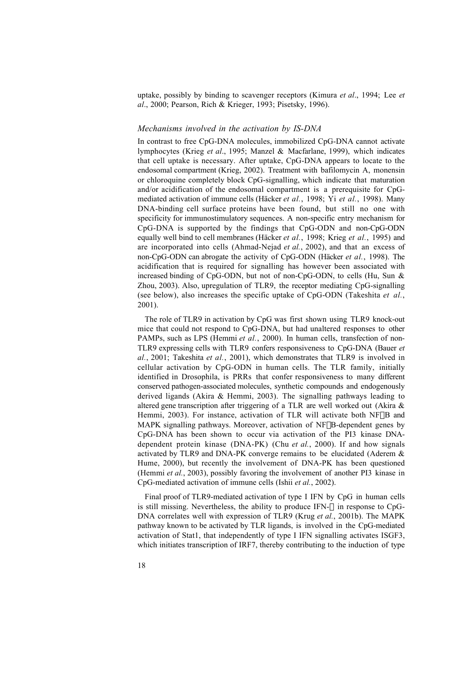uptake, possibly by binding to scavenger receptors (Kimura *et al*., 1994; Lee *et al*., 2000; Pearson, Rich & Krieger, 1993; Pisetsky, 1996).

#### *Mechanisms involved in the activation by IS-DNA*

In contrast to free CpG-DNA molecules, immobilized CpG-DNA cannot activate lymphocytes (Krieg *et al*., 1995; Manzel & Macfarlane, 1999), which indicates that cell uptake is necessary. After uptake, CpG-DNA appears to locate to the endosomal compartment (Krieg, 2002). Treatment with bafilomycin A, monensin or chloroquine completely block CpG-signalling, which indicate that maturation and/or acidification of the endosomal compartment is a prerequisite for CpGmediated activation of immune cells (Häcker *et al.*, 1998; Yi *et al.*, 1998). Many DNA-binding cell surface proteins have been found, but still no one with specificity for immunostimulatory sequences. A non-specific entry mechanism for CpG-DNA is supported by the findings that CpG-ODN and non-CpG-ODN equally well bind to cell membranes (Häcker *et al.*, 1998; Krieg *et al.*, 1995) and are incorporated into cells (Ahmad-Nejad *et al.*, 2002), and that an excess of non-CpG-ODN can abrogate the activity of CpG-ODN (Häcker *et al.*, 1998). The acidification that is required for signalling has however been associated with increased binding of CpG-ODN, but not of non-CpG-ODN, to cells (Hu, Sun & Zhou, 2003). Also, upregulation of TLR9, the receptor mediating CpG-signalling (see below), also increases the specific uptake of CpG-ODN (Takeshita *et al.*, 2001).

The role of TLR9 in activation by CpG was first shown using TLR9 knock-out mice that could not respond to CpG-DNA, but had unaltered responses to other PAMPs, such as LPS (Hemmi et al., 2000). In human cells, transfection of non-TLR9 expressing cells with TLR9 confers responsiveness to CpG-DNA (Bauer *et al.*, 2001; Takeshita *et al.*, 2001), which demonstrates that TLR9 is involved in cellular activation by CpG-ODN in human cells. The TLR family, initially identified in Drosophila, is PRRs that confer responsiveness to many different conserved pathogen-associated molecules, synthetic compounds and endogenously derived ligands (Akira & Hemmi, 2003). The signalling pathways leading to altered gene transcription after triggering of a TLR are well worked out (Akira & Hemmi, 2003). For instance, activation of TLR will activate both NFKB and MAPK signalling pathways. Moreover, activation of NFkB-dependent genes by CpG-DNA has been shown to occur via activation of the PI3 kinase DNAdependent protein kinase (DNA-PK) (Chu *et al.*, 2000). If and how signals activated by TLR9 and DNA-PK converge remains to be elucidated (Aderem & Hume, 2000), but recently the involvement of DNA-PK has been questioned (Hemmi *et al.*, 2003), possibly favoring the involvement of another PI3 kinase in CpG-mediated activation of immune cells (Ishii *et al.*, 2002).

Final proof of TLR9-mediated activation of type I IFN by CpG in human cells is still missing. Nevertheless, the ability to produce IFN- $\alpha$  in response to CpG-DNA correlates well with expression of TLR9 (Krug *et al.*, 2001b). The MAPK pathway known to be activated by TLR ligands, is involved in the CpG-mediated activation of Stat1, that independently of type I IFN signalling activates ISGF3, which initiates transcription of IRF7, thereby contributing to the induction of type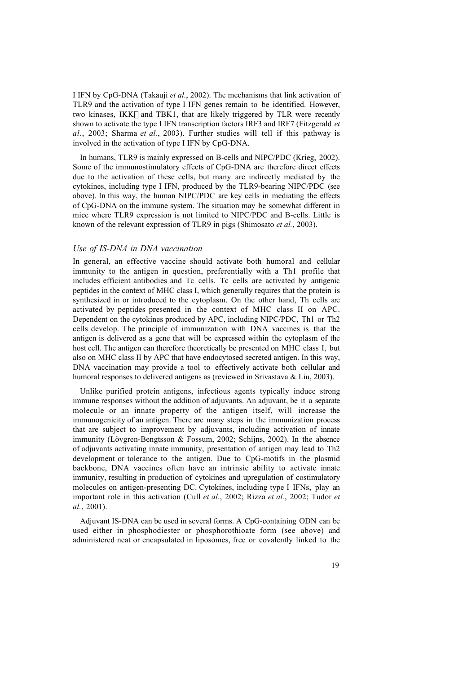I IFN by CpG-DNA (Takauji *et al.*, 2002). The mechanisms that link activation of TLR9 and the activation of type I IFN genes remain to be identified. However, two kinases, IKKe and TBK1, that are likely triggered by TLR were recently shown to activate the type I IFN transcription factors IRF3 and IRF7 (Fitzgerald *et al.*, 2003; Sharma *et al.*, 2003). Further studies will tell if this pathway is involved in the activation of type I IFN by CpG-DNA.

In humans, TLR9 is mainly expressed on B-cells and NIPC/PDC (Krieg, 2002). Some of the immunostimulatory effects of CpG-DNA are therefore direct effects due to the activation of these cells, but many are indirectly mediated by the cytokines, including type I IFN, produced by the TLR9-bearing NIPC/PDC (see above). In this way, the human NIPC/PDC are key cells in mediating the effects of CpG-DNA on the immune system. The situation may be somewhat different in mice where TLR9 expression is not limited to NIPC/PDC and B-cells. Little is known of the relevant expression of TLR9 in pigs (Shimosato *et al.*, 2003).

#### *Use of IS-DNA in DNA vaccination*

In general, an effective vaccine should activate both humoral and cellular immunity to the antigen in question, preferentially with a Th1 profile that includes efficient antibodies and Tc cells. Tc cells are activated by antigenic peptides in the context of MHC class I, which generally requires that the protein is synthesized in or introduced to the cytoplasm. On the other hand, Th cells are activated by peptides presented in the context of MHC class II on APC. Dependent on the cytokines produced by APC, including NIPC/PDC, Th1 or Th2 cells develop. The principle of immunization with DNA vaccines is that the antigen is delivered as a gene that will be expressed within the cytoplasm of the host cell. The antigen can therefore theoretically be presented on MHC class I, but also on MHC class II by APC that have endocytosed secreted antigen. In this way, DNA vaccination may provide a tool to effectively activate both cellular and humoral responses to delivered antigens as (reviewed in Srivastava & Liu, 2003).

Unlike purified protein antigens, infectious agents typically induce strong immune responses without the addition of adjuvants. An adjuvant, be it a separate molecule or an innate property of the antigen itself, will increase the immunogenicity of an antigen. There are many steps in the immunization process that are subject to improvement by adjuvants, including activation of innate immunity (Lövgren-Bengtsson & Fossum, 2002; Schijns, 2002). In the absence of adjuvants activating innate immunity, presentation of antigen may lead to Th2 development or tolerance to the antigen. Due to CpG-motifs in the plasmid backbone, DNA vaccines often have an intrinsic ability to activate innate immunity, resulting in production of cytokines and upregulation of costimulatory molecules on antigen-presenting DC. Cytokines, including type I IFNs, play an important role in this activation (Cull *et al.*, 2002; Rizza *et al.*, 2002; Tudor *et al.*, 2001).

Adjuvant IS-DNA can be used in several forms. A CpG-containing ODN can be used either in phosphodiester or phosphorothioate form (see above) and administered neat or encapsulated in liposomes, free or covalently linked to the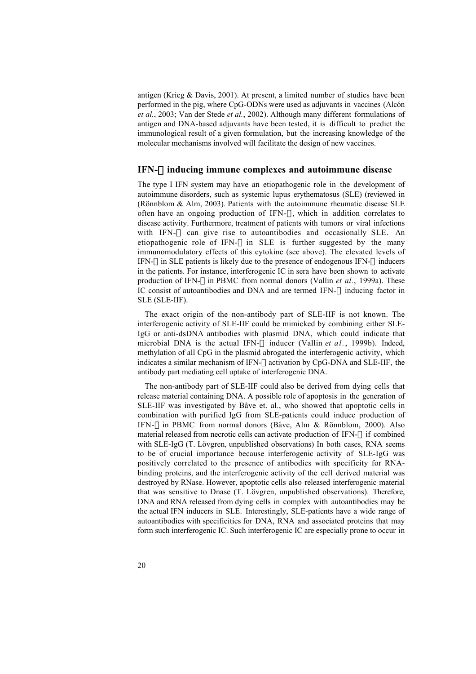antigen (Krieg & Davis, 2001). At present, a limited number of studies have been performed in the pig, where CpG-ODNs were used as adjuvants in vaccines (Alcón *et al.*, 2003; Van der Stede *et al.*, 2002). Although many different formulations of antigen and DNA-based adjuvants have been tested, it is difficult to predict the immunological result of a given formulation, but the increasing knowledge of the molecular mechanisms involved will facilitate the design of new vaccines.

#### **IFN-**a **inducing immune complexes and autoimmune disease**

The type I IFN system may have an etiopathogenic role in the development of autoimmune disorders, such as systemic lupus erythematosus (SLE) (reviewed in (Rönnblom & Alm, 2003). Patients with the autoimmune rheumatic disease SLE often have an ongoing production of IFN- $\alpha$ , which in addition correlates to disease activity. Furthermore, treatment of patients with tumors or viral infections with IFN- $\alpha$  can give rise to autoantibodies and occasionally SLE. An etiopathogenic role of IFN- $\alpha$  in SLE is further suggested by the many immunomodulatory effects of this cytokine (see above). The elevated levels of IFN- $\alpha$  in SLE patients is likely due to the presence of endogenous IFN- $\alpha$  inducers in the patients. For instance, interferogenic IC in sera have been shown to activate production of IFN- $\alpha$  in PBMC from normal donors (Vallin *et al.*, 1999a). These IC consist of autoantibodies and DNA and are termed IFN- $\alpha$  inducing factor in SLE (SLE-IIF).

The exact origin of the non-antibody part of SLE-IIF is not known. The interferogenic activity of SLE-IIF could be mimicked by combining either SLE-IgG or anti-dsDNA antibodies with plasmid DNA, which could indicate that microbial DNA is the actual IFN- $\alpha$  inducer (Vallin *et al.*, 1999b). Indeed, methylation of all CpG in the plasmid abrogated the interferogenic activity, which indicates a similar mechanism of IFN- $\alpha$  activation by CpG-DNA and SLE-IIF, the antibody part mediating cell uptake of interferogenic DNA.

The non-antibody part of SLE-IIF could also be derived from dying cells that release material containing DNA. A possible role of apoptosis in the generation of SLE-IIF was investigated by Båve et. al., who showed that apoptotic cells in combination with purified IgG from SLE-patients could induce production of IFN- $\alpha$  in PBMC from normal donors (Båve, Alm & Rönnblom, 2000). Also material released from necrotic cells can activate production of IFN- $\alpha$  if combined with SLE-IgG (T. Lövgren, unpublished observations) In both cases, RNA seems to be of crucial importance because interferogenic activity of SLE-IgG was positively correlated to the presence of antibodies with specificity for RNAbinding proteins, and the interferogenic activity of the cell derived material was destroyed by RNase. However, apoptotic cells also released interferogenic material that was sensitive to Dnase (T. Lövgren, unpublished observations). Therefore, DNA and RNA released from dying cells in complex with autoantibodies may be the actual IFN inducers in SLE. Interestingly, SLE-patients have a wide range of autoantibodies with specificities for DNA, RNA and associated proteins that may form such interferogenic IC. Such interferogenic IC are especially prone to occur in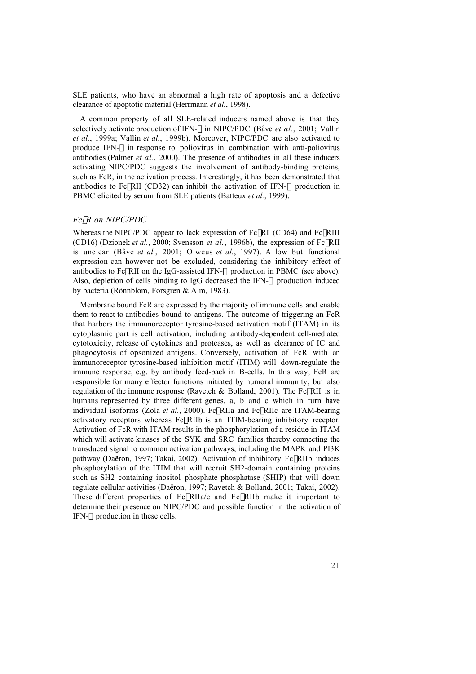SLE patients, who have an abnormal a high rate of apoptosis and a defective clearance of apoptotic material (Herrmann *et al.*, 1998).

A common property of all SLE-related inducers named above is that they selectively activate production of IFN- $\alpha$  in NIPC/PDC (Båve *et al.*, 2001; Vallin *et al.*, 1999a; Vallin *et al.*, 1999b). Moreover, NIPC/PDC are also activated to produce IFN- $\alpha$  in response to poliovirus in combination with anti-poliovirus antibodies (Palmer *et al.*, 2000). The presence of antibodies in all these inducers activating NIPC/PDC suggests the involvement of antibody-binding proteins, such as FcR, in the activation process. Interestingly, it has been demonstrated that antibodies to FcyRII (CD32) can inhibit the activation of IFN- $\alpha$  production in PBMC elicited by serum from SLE patients (Batteux *et al.*, 1999).

#### *Fc*g*R on NIPC/PDC*

Whereas the NIPC/PDC appear to lack expression of  $Fc\gamma RI$  (CD64) and  $Fc\gamma RIII$ (CD16) (Dzionek *et al.*, 2000; Svensson *et al.*, 1996b), the expression of  $Fc\gamma RII$ is unclear (Båve *et al.*, 2001; Olweus *et al.*, 1997). A low but functional expression can however not be excluded, considering the inhibitory effect of antibodies to Fc $\gamma$ RII on the IgG-assisted IFN- $\alpha$  production in PBMC (see above). Also, depletion of cells binding to IgG decreased the IFN- $\alpha$  production induced by bacteria (Rönnblom, Forsgren & Alm, 1983).

Membrane bound FcR are expressed by the majority of immune cells and enable them to react to antibodies bound to antigens. The outcome of triggering an FcR that harbors the immunoreceptor tyrosine-based activation motif (ITAM) in its cytoplasmic part is cell activation, including antibody-dependent cell-mediated cytotoxicity, release of cytokines and proteases, as well as clearance of IC and phagocytosis of opsonized antigens. Conversely, activation of FcR with an immunoreceptor tyrosine-based inhibition motif (ITIM) will down-regulate the immune response, e.g. by antibody feed-back in B-cells. In this way, FcR are responsible for many effector functions initiated by humoral immunity, but also regulation of the immune response (Ravetch & Bolland, 2001). The Fc $\gamma$ RII is in humans represented by three different genes, a, b and c which in turn have individual isoforms (Zola *et al.*, 2000). FcyRIIa and FcyRIIc are ITAM-bearing activatory receptors whereas FcyRIIb is an ITIM-bearing inhibitory receptor. Activation of FcR with ITAM results in the phosphorylation of a residue in ITAM which will activate kinases of the SYK and SRC families thereby connecting the transduced signal to common activation pathways, including the MAPK and PI3K pathway (Daëron, 1997; Takai, 2002). Activation of inhibitory FcyRIIb induces phosphorylation of the ITIM that will recruit SH2-domain containing proteins such as SH2 containing inositol phosphate phosphatase (SHIP) that will down regulate cellular activities (Daëron, 1997; Ravetch & Bolland, 2001; Takai, 2002). These different properties of  $FcyRIIa/c$  and  $FcyRIIb$  make it important to determine their presence on NIPC/PDC and possible function in the activation of IFN- $\alpha$  production in these cells.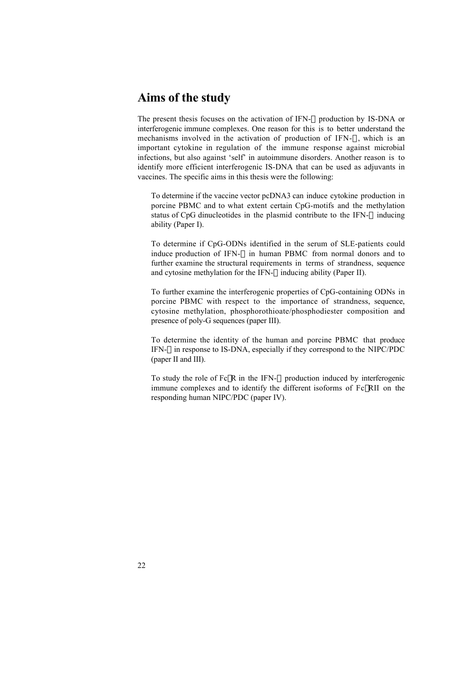# **Aims of the study**

The present thesis focuses on the activation of IFN- $\alpha$  production by IS-DNA or interferogenic immune complexes. One reason for this is to better understand the mechanisms involved in the activation of production of IFN- $\alpha$ , which is an important cytokine in regulation of the immune response against microbial infections, but also against 'self' in autoimmune disorders. Another reason is to identify more efficient interferogenic IS-DNA that can be used as adjuvants in vaccines. The specific aims in this thesis were the following:

- ® To determine if the vaccine vector pcDNA3 can induce cytokine production in porcine PBMC and to what extent certain CpG-motifs and the methylation status of CpG dinucleotides in the plasmid contribute to the IFN- $\alpha$  inducing ability (Paper I).
- ® To determine if CpG-ODNs identified in the serum of SLE-patients could induce production of IFN- $\alpha$  in human PBMC from normal donors and to further examine the structural requirements in terms of strandness, sequence and cytosine methylation for the IFN- $\alpha$  inducing ability (Paper II).
- ® To further examine the interferogenic properties of CpG-containing ODNs in porcine PBMC with respect to the importance of strandness, sequence, cytosine methylation, phosphorothioate/phosphodiester composition and presence of poly-G sequences (paper III).
- ® To determine the identity of the human and porcine PBMC that produce IFN- $\alpha$  in response to IS-DNA, especially if they correspond to the NIPC/PDC (paper II and III).
- $\bullet$  To study the role of Fc $\gamma$ R in the IFN- $\alpha$  production induced by interferogenic immune complexes and to identify the different isoforms of  $Fc\gamma RII$  on the responding human NIPC/PDC (paper IV).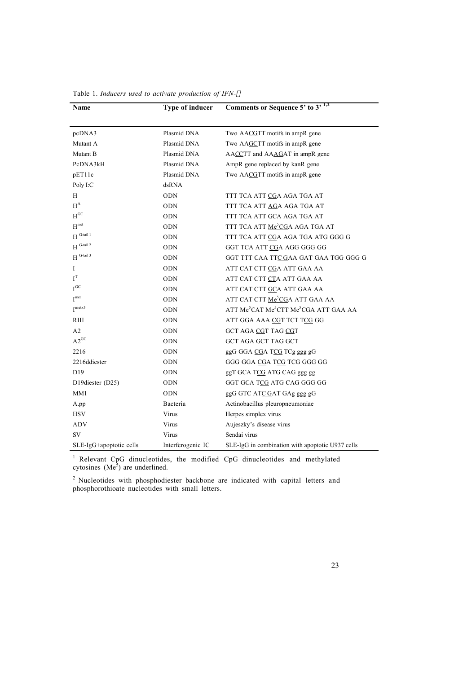| Name                     | <b>Type of inducer</b> | Comments or Sequence 5' to 3' 1,2                                          |
|--------------------------|------------------------|----------------------------------------------------------------------------|
|                          |                        |                                                                            |
| pcDNA3                   | Plasmid DNA            | Two AACGTT motifs in ampR gene                                             |
| Mutant A                 | Plasmid DNA            | Two AAGCTT motifs in ampR gene                                             |
| Mutant B                 | Plasmid DNA            | AACCTT and AAAGAT in ampR gene                                             |
| PcDNA3kH                 | Plasmid DNA            | AmpR gene replaced by kanR gene                                            |
| pET11c                   | Plasmid DNA            | Two AACGTT motifs in ampR gene                                             |
| Poly I:C                 | dsRNA                  |                                                                            |
| H                        | <b>ODN</b>             | TTT TCA ATT CGA AGA TGA AT                                                 |
| $H^A$                    | <b>ODN</b>             | TTT TCA ATT AGA AGA TGA AT                                                 |
| $\mathbf{H}^\mathrm{GC}$ | <b>ODN</b>             | TTT TCA ATT GCA AGA TGA AT                                                 |
| H <sub>met</sub>         | <b>ODN</b>             | TTT TCA ATT Me <sup>3</sup> CGA AGA TGA AT                                 |
| $\mathbf{H}$ G-tail l    | <b>ODN</b>             | TTT TCA ATT CGA AGA TGA ATG GGG G                                          |
| $H^{G-tail 2}$           | <b>ODN</b>             | GGT TCA ATT CGA AGG GGG GG                                                 |
| $H^{G-tail 3}$           | <b>ODN</b>             | GGT TTT CAA TTC GAA GAT GAA TGG GGG G                                      |
| Ι                        | <b>ODN</b>             | ATT CAT CTT CGA ATT GAA AA                                                 |
| I <sup>T</sup>           | <b>ODN</b>             | ATT CAT CTT CTA ATT GAA AA                                                 |
| $I^{GC}$                 | <b>ODN</b>             | ATT CAT CTT GCA ATT GAA AA                                                 |
| I <sup>met</sup>         | <b>ODN</b>             | ATT CAT CTT Me <sup>5</sup> CGA ATT GAA AA                                 |
| $I^{metx3}$              | <b>ODN</b>             | ATT Me <sup>5</sup> CAT Me <sup>5</sup> CTT Me <sup>5</sup> CGA ATT GAA AA |
| RIII                     | <b>ODN</b>             | ATT GGA AAA CGT TCT TCG GG                                                 |
| A2                       | <b>ODN</b>             | GCT AGA CGT TAG CGT                                                        |
| $A2^{GC}$                | ODN                    | GCT AGA GCT TAG GCT                                                        |
| 2216                     | <b>ODN</b>             | ggG GGA CGA TCG TCg ggg gG                                                 |
| 2216ddiester             | <b>ODN</b>             | GGG GGA CGA TCG TCG GGG GG                                                 |
| D <sub>19</sub>          | ODN                    | ggT GCA TCG ATG CAG ggg gg                                                 |
| D19diester (D25)         | <b>ODN</b>             | GGT GCA TCG ATG CAG GGG GG                                                 |
| MM1                      | <b>ODN</b>             | ggG GTC ATC GAT GAg ggg gG                                                 |
| A.pp                     | Bacteria               | Actinobacillus pleuropneumoniae                                            |
| <b>HSV</b>               | Virus                  | Herpes simplex virus                                                       |
| ADV                      | Virus                  | Aujeszky's disease virus                                                   |
| <b>SV</b>                | Virus                  | Sendai virus                                                               |
| SLE-IgG+apoptotic cells  | Interferogenic IC      | SLE-IgG in combination with apoptotic U937 cells                           |

Table 1. *Inducers used to activate production of IFN-*<sup>a</sup>

<sup>1</sup> Relevant CpG dinucleotides, the modified CpG dinucleotides and methylated cytosines  $(Me^3)$  are underlined.

 $2$  Nucleotides with phosphodiester backbone are indicated with capital letters and phosphorothioate nucleotides with small letters.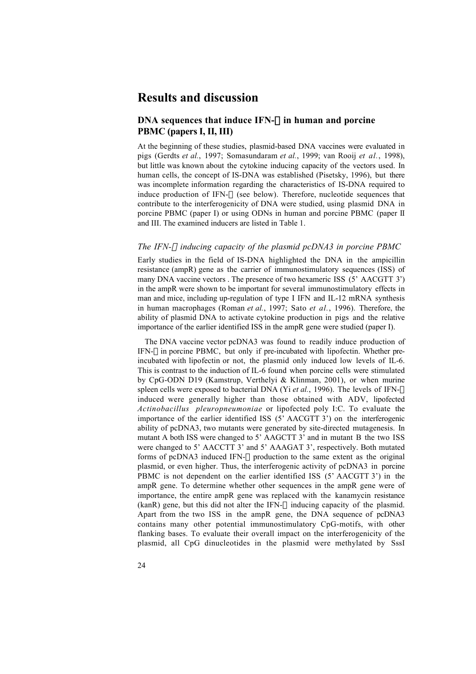### **Results and discussion**

### **DNA sequences that induce IFN-** $\alpha$  **in human and porcine PBMC (papers I, II, III)**

At the beginning of these studies, plasmid-based DNA vaccines were evaluated in pigs (Gerdts *et al.*, 1997; Somasundaram *et al.*, 1999; van Rooij *et al.*, 1998), but little was known about the cytokine inducing capacity of the vectors used. In human cells, the concept of IS-DNA was established (Pisetsky, 1996), but there was incomplete information regarding the characteristics of IS-DNA required to induce production of IFN- $\alpha$  (see below). Therefore, nucleotide sequences that contribute to the interferogenicity of DNA were studied, using plasmid DNA in porcine PBMC (paper I) or using ODNs in human and porcine PBMC (paper II and III. The examined inducers are listed in Table 1.

#### *The IFN-*<sup>a</sup> *inducing capacity of the plasmid pcDNA3 in porcine PBMC*

Early studies in the field of IS-DNA highlighted the DNA in the ampicillin resistance (ampR) gene as the carrier of immunostimulatory sequences (ISS) of many DNA vaccine vectors . The presence of two hexameric ISS (5' AACGTT 3') in the ampR were shown to be important for several immunostimulatory effects in man and mice, including up-regulation of type I IFN and IL-12 mRNA synthesis in human macrophages (Roman *et al.*, 1997; Sato *et al.*, 1996). Therefore, the ability of plasmid DNA to activate cytokine production in pigs and the relative importance of the earlier identified ISS in the ampR gene were studied (paper I).

The DNA vaccine vector pcDNA3 was found to readily induce production of IFN- $\alpha$  in porcine PBMC, but only if pre-incubated with lipofectin. Whether preincubated with lipofectin or not, the plasmid only induced low levels of IL-6. This is contrast to the induction of IL-6 found when porcine cells were stimulated by CpG-ODN D19 (Kamstrup, Verthelyi & Klinman, 2001), or when murine spleen cells were exposed to bacterial DNA (Yi *et al.*, 1996). The levels of IFN- $\alpha$ induced were generally higher than those obtained with ADV, lipofected *Actinobacillus pleuropneumoniae* or lipofected poly I:C. To evaluate the importance of the earlier identified ISS (5' AACGTT 3') on the interferogenic ability of pcDNA3, two mutants were generated by site-directed mutagenesis. In mutant A both ISS were changed to 5' AAGCTT 3' and in mutant B the two ISS were changed to 5' AACCTT 3' and 5' AAAGAT 3', respectively. Both mutated forms of pcDNA3 induced IFN- $\alpha$  production to the same extent as the original plasmid, or even higher. Thus, the interferogenic activity of pcDNA3 in porcine PBMC is not dependent on the earlier identified ISS (5' AACGTT 3') in the ampR gene. To determine whether other sequences in the ampR gene were of importance, the entire ampR gene was replaced with the kanamycin resistance (kanR) gene, but this did not alter the IFN- $\alpha$  inducing capacity of the plasmid. Apart from the two ISS in the ampR gene, the DNA sequence of pcDNA3 contains many other potential immunostimulatory CpG-motifs, with other flanking bases. To evaluate their overall impact on the interferogenicity of the plasmid, all CpG dinucleotides in the plasmid were methylated by SssI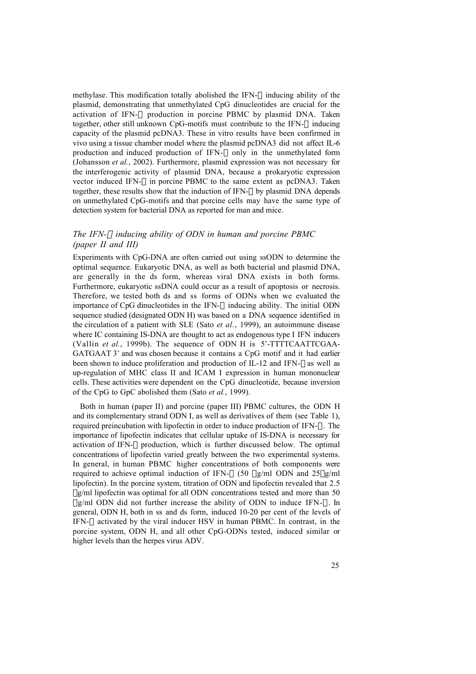methylase. This modification totally abolished the IFN- $\alpha$  inducing ability of the plasmid, demonstrating that unmethylated CpG dinucleotides are crucial for the activation of IFN- $\alpha$  production in porcine PBMC by plasmid DNA. Taken together, other still unknown CpG-motifs must contribute to the IFN- $\alpha$  inducing capacity of the plasmid pcDNA3. These in vitro results have been confirmed in vivo using a tissue chamber model where the plasmid pcDNA3 did not affect IL-6 production and induced production of IFN- $\alpha$  only in the unmethylated form (Johansson *et al.*, 2002). Furthermore, plasmid expression was not necessary for the interferogenic activity of plasmid DNA, because a prokaryotic expression vector induced IFN- $\alpha$  in porcine PBMC to the same extent as pcDNA3. Taken together, these results show that the induction of IFN- $\alpha$  by plasmid DNA depends on unmethylated CpG-motifs and that porcine cells may have the same type of detection system for bacterial DNA as reported for man and mice.

### *The IFN-*<sup>a</sup> *inducing ability of ODN in human and porcine PBMC (paper II and III)*

Experiments with CpG-DNA are often carried out using ssODN to determine the optimal sequence. Eukaryotic DNA, as well as both bacterial and plasmid DNA, are generally in the ds form, whereas viral DNA exists in both forms. Furthermore, eukaryotic ssDNA could occur as a result of apoptosis or necrosis. Therefore, we tested both ds and ss forms of ODNs when we evaluated the importance of CpG dinucleotides in the IFN- $\alpha$  inducing ability. The initial ODN sequence studied (designated ODN H) was based on a DNA sequence identified in the circulation of a patient with SLE (Sato *et al.*, 1999), an autoimmune disease where IC containing IS-DNA are thought to act as endogenous type I IFN inducers (Vallin *et al.*, 1999b). The sequence of ODN H is 5'-TTTTCAATTCGAA-GATGAAT 3' and was chosen because it contains a CpG motif and it had earlier been shown to induce proliferation and production of IL-12 and IFN- $\gamma$  as well as up-regulation of MHC class II and ICAM I expression in human mononuclear cells. These activities were dependent on the CpG dinucleotide, because inversion of the CpG to GpC abolished them (Sato *et al.*, 1999).

Both in human (paper II) and porcine (paper III) PBMC cultures, the ODN H and its complementary strand ODN I, as well as derivatives of them (see Table 1), required preincubation with lipofectin in order to induce production of IFN- $\alpha$ . The importance of lipofectin indicates that cellular uptake of IS-DNA is necessary for activation of IFN- $\alpha$  production, which is further discussed below. The optimal concentrations of lipofectin varied greatly between the two experimental systems. In general, in human PBMC higher concentrations of both components were required to achieve optimal induction of IFN- $\alpha$  (50 µg/ml ODN and 25µg/ml lipofectin). In the porcine system, titration of ODN and lipofectin revealed that 2.5 ug/ml lipofectin was optimal for all ODN concentrations tested and more than 50  $\mu$ g/ml ODN did not further increase the ability of ODN to induce IFN- $\alpha$ . In general, ODN H, both in ss and ds form, induced 10-20 per cent of the levels of IFN- $\alpha$  activated by the viral inducer HSV in human PBMC. In contrast, in the porcine system, ODN H, and all other CpG-ODNs tested, induced similar or higher levels than the herpes virus ADV.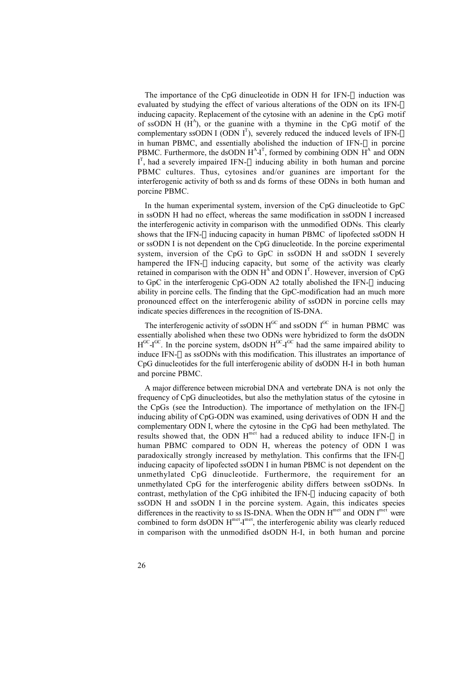The importance of the CpG dinucleotide in ODN H for IFN- $\alpha$  induction was evaluated by studying the effect of various alterations of the ODN on its IFN- $\alpha$ inducing capacity. Replacement of the cytosine with an adenine in the CpG motif of ssODN H  $(H<sup>A</sup>)$ , or the guanine with a thymine in the CpG motif of the complementary ssODN I (ODN  $I<sup>T</sup>$ ), severely reduced the induced levels of IFN- $\alpha$ in human PBMC, and essentially abolished the induction of IFN- $\alpha$  in porcine PBMC. Furthermore, the dsODN  $H^A-I^T$ , formed by combining ODN  $H^A$  and ODN  $I<sup>T</sup>$ , had a severely impaired IFN- $\alpha$  inducing ability in both human and porcine PBMC cultures. Thus, cytosines and/or guanines are important for the interferogenic activity of both ss and ds forms of these ODNs in both human and porcine PBMC.

In the human experimental system, inversion of the CpG dinucleotide to GpC in ssODN H had no effect, whereas the same modification in ssODN I increased the interferogenic activity in comparison with the unmodified ODNs. This clearly shows that the IFN- $\alpha$  inducing capacity in human PBMC of lipofected ssODN H or ssODN I is not dependent on the CpG dinucleotide. In the porcine experimental system, inversion of the CpG to GpC in ssODN H and ssODN I severely hampered the IFN- $\alpha$  inducing capacity, but some of the activity was clearly retained in comparison with the ODN  $H^A$  and ODN  $I^T$ . However, inversion of CpG to GpC in the interferogenic CpG-ODN A2 totally abolished the IFN- $\alpha$  inducing ability in porcine cells. The finding that the GpC-modification had an much more pronounced effect on the interferogenic ability of ssODN in porcine cells may indicate species differences in the recognition of IS-DNA.

The interferogenic activity of ssODN  $H^{GC}$  and ssODN  $I^{GC}$  in human PBMC was essentially abolished when these two ODNs were hybridized to form the dsODN  $H^{GC}I^{GC}$ . In the porcine system, dsODN  $H^{GC}I^{GC}$  had the same impaired ability to induce IFN- $\alpha$  as ssODNs with this modification. This illustrates an importance of CpG dinucleotides for the full interferogenic ability of dsODN H-I in both human and porcine PBMC.

A major difference between microbial DNA and vertebrate DNA is not only the frequency of CpG dinucleotides, but also the methylation status of the cytosine in the CpGs (see the Introduction). The importance of methylation on the IFN- $\alpha$ inducing ability of CpG-ODN was examined, using derivatives of ODN H and the complementary ODN I, where the cytosine in the CpG had been methylated. The results showed that, the ODN  $H^{m^{et}}$  had a reduced ability to induce IFN- $\alpha$  in human PBMC compared to ODN H, whereas the potency of ODN I was paradoxically strongly increased by methylation. This confirms that the IFN- $\alpha$ inducing capacity of lipofected ssODN I in human PBMC is not dependent on the unmethylated CpG dinucleotide. Furthermore, the requirement for an unmethylated CpG for the interferogenic ability differs between ssODNs. In contrast, methylation of the CpG inhibited the IFN- $\alpha$  inducing capacity of both ssODN H and ssODN I in the porcine system. Again, this indicates species differences in the reactivity to ss IS-DNA. When the ODN  $H<sup>met</sup>$  and ODN  $I<sup>met</sup>$  were combined to form dsODN  $H<sup>met</sup>-I<sup>met</sup>$ , the interferogenic ability was clearly reduced in comparison with the unmodified dsODN H-I, in both human and porcine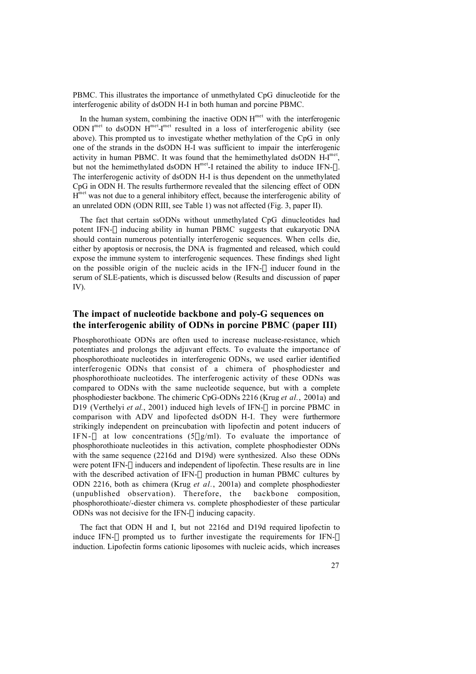PBMC. This illustrates the importance of unmethylated CpG dinucleotide for the interferogenic ability of dsODN H-I in both human and porcine PBMC.

In the human system, combining the inactive ODN  $H<sup>met</sup>$  with the interferogenic ODN  $I^{met}$  to dsODN  $H^{met}I^{met}$  resulted in a loss of interferogenic ability (see above). This prompted us to investigate whether methylation of the CpG in only one of the strands in the dsODN H-I was sufficient to impair the interferogenic activity in human PBMC. It was found that the hemimethylated dsODN H-I<sup>met</sup>, but not the hemimethylated dsODN  $H^{met}$ -I retained the ability to induce IFN- $\alpha$ . The interferogenic activity of dsODN H-I is thus dependent on the unmethylated CpG in ODN H. The results furthermore revealed that the silencing effect of ODN  $H<sup>met</sup>$  was not due to a general inhibitory effect, because the interferogenic ability of an unrelated ODN (ODN RIII, see Table 1) was not affected (Fig. 3, paper II).

The fact that certain ssODNs without unmethylated CpG dinucleotides had potent IFN- $\alpha$  inducing ability in human PBMC suggests that eukaryotic DNA should contain numerous potentially interferogenic sequences. When cells die, either by apoptosis or necrosis, the DNA is fragmented and released, which could expose the immune system to interferogenic sequences. These findings shed light on the possible origin of the nucleic acids in the IFN- $\alpha$  inducer found in the serum of SLE-patients, which is discussed below (Results and discussion of paper IV).

### **The impact of nucleotide backbone and poly-G sequences on the interferogenic ability of ODNs in porcine PBMC (paper III)**

Phosphorothioate ODNs are often used to increase nuclease-resistance, which potentiates and prolongs the adjuvant effects. To evaluate the importance of phosphorothioate nucleotides in interferogenic ODNs, we used earlier identified interferogenic ODNs that consist of a chimera of phosphodiester and phosphorothioate nucleotides. The interferogenic activity of these ODNs was compared to ODNs with the same nucleotide sequence, but with a complete phosphodiester backbone. The chimeric CpG-ODNs 2216 (Krug *et al.*, 2001a) and D19 (Verthelyi *et al.*, 2001) induced high levels of IFN- $\alpha$  in porcine PBMC in comparison with ADV and lipofected dsODN H-I. They were furthermore strikingly independent on preincubation with lipofectin and potent inducers of IFN- $\alpha$  at low concentrations (5µg/ml). To evaluate the importance of phosphorothioate nucleotides in this activation, complete phosphodiester ODNs with the same sequence (2216d and D19d) were synthesized. Also these ODNs were potent IFN- $\alpha$  inducers and independent of lipofectin. These results are in line with the described activation of IFN- $\alpha$  production in human PBMC cultures by ODN 2216, both as chimera (Krug *et al.*, 2001a) and complete phosphodiester (unpublished observation). Therefore, the backbone composition, phosphorothioate/-diester chimera vs. complete phosphodiester of these particular ODNs was not decisive for the IFN- $\alpha$  inducing capacity.

The fact that ODN H and I, but not 2216d and D19d required lipofectin to induce IFN- $\alpha$  prompted us to further investigate the requirements for IFN- $\alpha$ induction. Lipofectin forms cationic liposomes with nucleic acids, which increases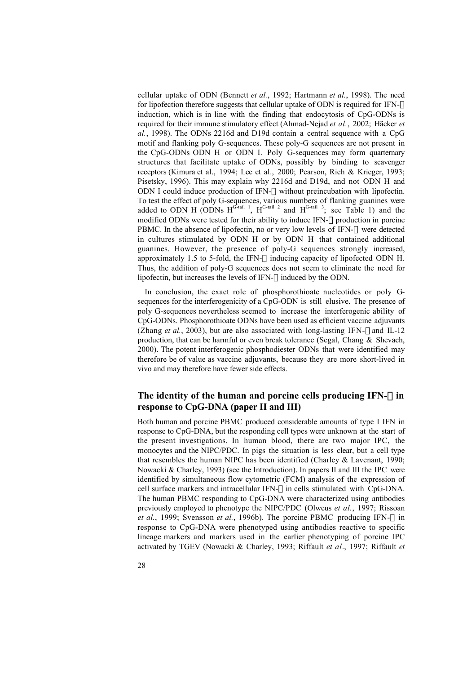cellular uptake of ODN (Bennett *et al.*, 1992; Hartmann *et al.*, 1998). The need for lipofection therefore suggests that cellular uptake of ODN is required for IFN- $\alpha$ induction, which is in line with the finding that endocytosis of CpG-ODNs is required for their immune stimulatory effect (Ahmad-Nejad *et al.*, 2002; Häcker *et al.*, 1998). The ODNs 2216d and D19d contain a central sequence with a CpG motif and flanking poly G-sequences. These poly-G sequences are not present in the CpG-ODNs ODN H or ODN I. Poly G-sequences may form quarternary structures that facilitate uptake of ODNs, possibly by binding to scavenger receptors (Kimura et al., 1994; Lee et al., 2000; Pearson, Rich & Krieger, 1993; Pisetsky, 1996). This may explain why 2216d and D19d, and not ODN H and ODN I could induce production of IFN- $\alpha$  without preincubation with lipofectin. To test the effect of poly G-sequences, various numbers of flanking guanines were added to ODN H (ODNs  $H^{G-tail}$ <sup>1</sup>,  $H^{G-tail}$ <sup>2</sup> and  $H^{G-tail}$ <sup>3</sup>; see Table 1) and the modified ODNs were tested for their ability to induce IFN- $\alpha$  production in porcine PBMC. In the absence of lipofectin, no or very low levels of IFN- $\alpha$  were detected in cultures stimulated by ODN H or by ODN H that contained additional guanines. However, the presence of poly-G sequences strongly increased, approximately 1.5 to 5-fold, the IFN- $\alpha$  inducing capacity of lipofected ODN H. Thus, the addition of poly-G sequences does not seem to eliminate the need for lipofectin, but increases the levels of IFN- $\alpha$  induced by the ODN.

In conclusion, the exact role of phosphorothioate nucleotides or poly Gsequences for the interferogenicity of a CpG-ODN is still elusive. The presence of poly G-sequences nevertheless seemed to increase the interferogenic ability of CpG-ODNs. Phosphorothioate ODNs have been used as efficient vaccine adjuvants (Zhang *et al.*, 2003), but are also associated with long-lasting IFN- $\gamma$  and IL-12 production, that can be harmful or even break tolerance (Segal, Chang & Shevach, 2000). The potent interferogenic phosphodiester ODNs that were identified may therefore be of value as vaccine adjuvants, because they are more short-lived in vivo and may therefore have fewer side effects.

### The identity of the human and porcine cells producing  $IFN-\alpha$  in **response to CpG-DNA (paper II and III)**

Both human and porcine PBMC produced considerable amounts of type I IFN in response to CpG-DNA, but the responding cell types were unknown at the start of the present investigations. In human blood, there are two major IPC, the monocytes and the NIPC/PDC. In pigs the situation is less clear, but a cell type that resembles the human NIPC has been identified (Charley & Lavenant, 1990; Nowacki & Charley, 1993) (see the Introduction). In papers II and III the IPC were identified by simultaneous flow cytometric (FCM) analysis of the expression of cell surface markers and intracellular IFN- $\alpha$  in cells stimulated with CpG-DNA. The human PBMC responding to CpG-DNA were characterized using antibodies previously employed to phenotype the NIPC/PDC (Olweus *et al.*, 1997; Rissoan *et al.*, 1999; Svensson *et al.*, 1996b). The porcine PBMC producing IFN- $\alpha$  in response to CpG-DNA were phenotyped using antibodies reactive to specific lineage markers and markers used in the earlier phenotyping of porcine IPC activated by TGEV (Nowacki & Charley, 1993; Riffault *et al*., 1997; Riffault *et*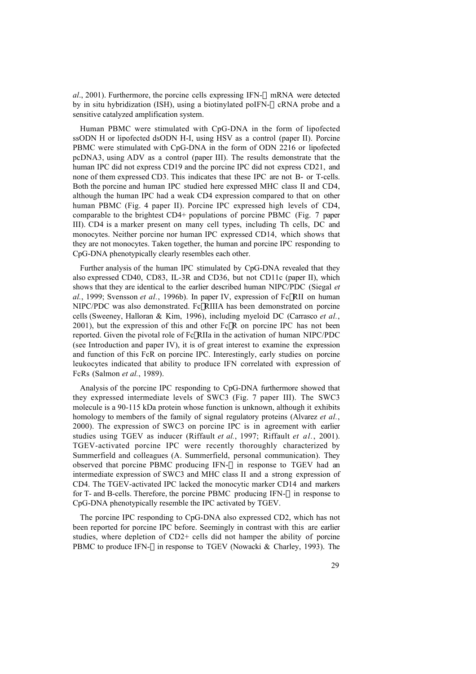$al$ , 2001). Furthermore, the porcine cells expressing IFN- $\alpha$  mRNA were detected by in situ hybridization (ISH), using a biotinylated poIFN- $\alpha$  cRNA probe and a sensitive catalyzed amplification system.

Human PBMC were stimulated with CpG-DNA in the form of lipofected ssODN H or lipofected dsODN H-I, using HSV as a control (paper II). Porcine PBMC were stimulated with CpG-DNA in the form of ODN 2216 or lipofected pcDNA3, using ADV as a control (paper III). The results demonstrate that the human IPC did not express CD19 and the porcine IPC did not express CD21, and none of them expressed CD3. This indicates that these IPC are not B- or T-cells. Both the porcine and human IPC studied here expressed MHC class II and CD4, although the human IPC had a weak CD4 expression compared to that on other human PBMC (Fig. 4 paper II). Porcine IPC expressed high levels of CD4, comparable to the brightest CD4+ populations of porcine PBMC (Fig. 7 paper III). CD4 is a marker present on many cell types, including Th cells, DC and monocytes. Neither porcine nor human IPC expressed CD14, which shows that they are not monocytes. Taken together, the human and porcine IPC responding to CpG-DNA phenotypically clearly resembles each other.

Further analysis of the human IPC stimulated by CpG-DNA revealed that they also expressed CD40, CD83, IL-3R and CD36, but not CD11c (paper II), which shows that they are identical to the earlier described human NIPC/PDC (Siegal *et al.*, 1999; Svensson *et al.*, 1996b). In paper IV, expression of FcgRII on human NIPC/PDC was also demonstrated. FcyRIIIA has been demonstrated on porcine cells (Sweeney, Halloran & Kim, 1996), including myeloid DC (Carrasco *et al.*,  $2001$ ), but the expression of this and other Fc $\gamma$ R on porcine IPC has not been reported. Given the pivotal role of FcgRIIa in the activation of human NIPC/PDC (see Introduction and paper IV), it is of great interest to examine the expression and function of this FcR on porcine IPC. Interestingly, early studies on porcine leukocytes indicated that ability to produce IFN correlated with expression of FcRs (Salmon *et al.*, 1989).

Analysis of the porcine IPC responding to CpG-DNA furthermore showed that they expressed intermediate levels of SWC3 (Fig. 7 paper III). The SWC3 molecule is a 90-115 kDa protein whose function is unknown, although it exhibits homology to members of the family of signal regulatory proteins (Alvarez *et al.*, 2000). The expression of SWC3 on porcine IPC is in agreement with earlier studies using TGEV as inducer (Riffault *et al.*, 1997; Riffault *et al.*, 2001). TGEV-activated porcine IPC were recently thoroughly characterized by Summerfield and colleagues (A. Summerfield, personal communication). They observed that porcine PBMC producing IFN- $\alpha$  in response to TGEV had an intermediate expression of SWC3 and MHC class II and a strong expression of CD4. The TGEV-activated IPC lacked the monocytic marker CD14 and markers for T- and B-cells. Therefore, the porcine PBMC producing IFN- $\alpha$  in response to CpG-DNA phenotypically resemble the IPC activated by TGEV.

The porcine IPC responding to CpG-DNA also expressed CD2, which has not been reported for porcine IPC before. Seemingly in contrast with this are earlier studies, where depletion of CD2+ cells did not hamper the ability of porcine PBMC to produce IFN- $\alpha$  in response to TGEV (Nowacki & Charley, 1993). The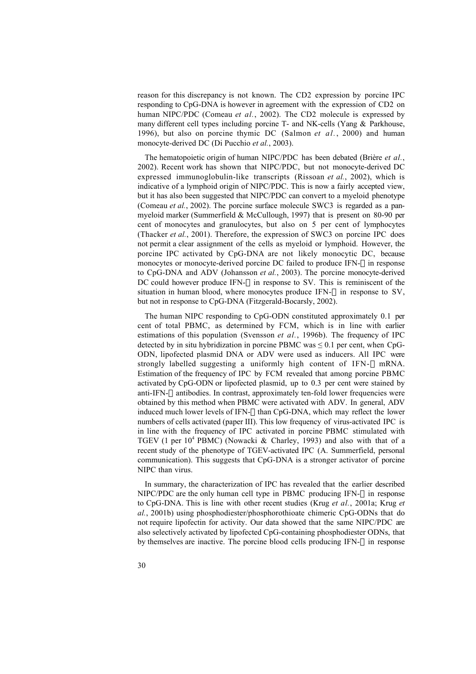reason for this discrepancy is not known. The CD2 expression by porcine IPC responding to CpG-DNA is however in agreement with the expression of CD2 on human NIPC/PDC (Comeau *et al.*, 2002). The CD2 molecule is expressed by many different cell types including porcine T- and NK-cells (Yang & Parkhouse, 1996), but also on porcine thymic DC (Salmon *et al.*, 2000) and human monocyte-derived DC (Di Pucchio *et al.*, 2003).

The hematopoietic origin of human NIPC/PDC has been debated (Brière *et al.*, 2002). Recent work has shown that NIPC/PDC, but not monocyte-derived DC expressed immunoglobulin-like transcripts (Rissoan *et al.*, 2002), which is indicative of a lymphoid origin of NIPC/PDC. This is now a fairly accepted view, but it has also been suggested that NIPC/PDC can convert to a myeloid phenotype (Comeau *et al.*, 2002). The porcine surface molecule SWC3 is regarded as a panmyeloid marker (Summerfield & McCullough, 1997) that is present on 80-90 per cent of monocytes and granulocytes, but also on 5 per cent of lymphocytes (Thacker *et al.*, 2001). Therefore, the expression of SWC3 on porcine IPC does not permit a clear assignment of the cells as myeloid or lymphoid. However, the porcine IPC activated by CpG-DNA are not likely monocytic DC, because monocytes or monocyte-derived porcine DC failed to produce IFN- $\alpha$  in response to CpG-DNA and ADV (Johansson *et al.*, 2003). The porcine monocyte-derived DC could however produce IFN- $\alpha$  in response to SV. This is reminiscent of the situation in human blood, where monocytes produce IFN- $\alpha$  in response to SV, but not in response to CpG-DNA (Fitzgerald-Bocarsly, 2002).

The human NIPC responding to CpG-ODN constituted approximately 0.1 per cent of total PBMC, as determined by FCM, which is in line with earlier estimations of this population (Svensson *et al.*, 1996b). The frequency of IPC detected by in situ hybridization in porcine PBMC was  $\leq 0.1$  per cent, when CpG-ODN, lipofected plasmid DNA or ADV were used as inducers. All IPC were strongly labelled suggesting a uniformly high content of IFN- $\alpha$  mRNA. Estimation of the frequency of IPC by FCM revealed that among porcine PBMC activated by CpG-ODN or lipofected plasmid, up to 0.3 per cent were stained by anti-IFN- $\alpha$  antibodies. In contrast, approximately ten-fold lower frequencies were obtained by this method when PBMC were activated with ADV. In general, ADV induced much lower levels of IFN- $\alpha$  than CpG-DNA, which may reflect the lower numbers of cells activated (paper III). This low frequency of virus-activated IPC is in line with the frequency of IPC activated in porcine PBMC stimulated with TGEV (1 per  $10^4$  PBMC) (Nowacki & Charley, 1993) and also with that of a recent study of the phenotype of TGEV-activated IPC (A. Summerfield, personal communication). This suggests that CpG-DNA is a stronger activator of porcine NIPC than virus.

In summary, the characterization of IPC has revealed that the earlier described NIPC/PDC are the only human cell type in PBMC producing IFN- $\alpha$  in response to CpG-DNA. This is line with other recent studies (Krug *et al.*, 2001a; Krug *et al.*, 2001b) using phosphodiester/phosphorothioate chimeric CpG-ODNs that do not require lipofectin for activity. Our data showed that the same NIPC/PDC are also selectively activated by lipofected CpG-containing phosphodiester ODNs, that by themselves are inactive. The porcine blood cells producing IFN- $\alpha$  in response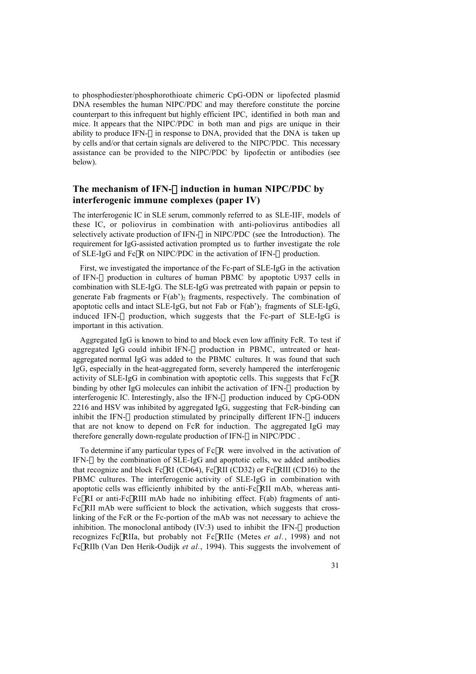to phosphodiester/phosphorothioate chimeric CpG-ODN or lipofected plasmid DNA resembles the human NIPC/PDC and may therefore constitute the porcine counterpart to this infrequent but highly efficient IPC, identified in both man and mice. It appears that the NIPC/PDC in both man and pigs are unique in their ability to produce IFN- $\alpha$  in response to DNA, provided that the DNA is taken up by cells and/or that certain signals are delivered to the NIPC/PDC. This necessary assistance can be provided to the NIPC/PDC by lipofectin or antibodies (see below).

### **The mechanism of IFN-**a **induction in human NIPC/PDC by interferogenic immune complexes (paper IV)**

The interferogenic IC in SLE serum, commonly referred to as SLE-IIF, models of these IC, or poliovirus in combination with anti-poliovirus antibodies all selectively activate production of IFN- $\alpha$  in NIPC/PDC (see the Introduction). The requirement for IgG-assisted activation prompted us to further investigate the role of SLE-IgG and Fc $\gamma$ R on NIPC/PDC in the activation of IFN- $\alpha$  production.

First, we investigated the importance of the Fc-part of SLE-IgG in the activation of IFN- $\alpha$  production in cultures of human PBMC by apoptotic U937 cells in combination with SLE-IgG. The SLE-IgG was pretreated with papain or pepsin to generate Fab fragments or  $F(ab')_2$  fragments, respectively. The combination of apoptotic cells and intact SLE-IgG, but not Fab or  $F(ab')_2$  fragments of SLE-IgG, induced IFN- $\alpha$  production, which suggests that the Fc-part of SLE-IgG is important in this activation.

Aggregated IgG is known to bind to and block even low affinity FcR. To test if aggregated IgG could inhibit IFN- $\alpha$  production in PBMC, untreated or heataggregated normal IgG was added to the PBMC cultures. It was found that such IgG, especially in the heat-aggregated form, severely hampered the interferogenic activity of SLE-IgG in combination with apoptotic cells. This suggests that  $Fc\gamma R$ binding by other IgG molecules can inhibit the activation of IFN- $\alpha$  production by interferogenic IC. Interestingly, also the IFN- $\alpha$  production induced by CpG-ODN 2216 and HSV was inhibited by aggregated IgG, suggesting that FcR-binding can inhibit the IFN- $\alpha$  production stimulated by principally different IFN- $\alpha$  inducers that are not know to depend on FcR for induction. The aggregated IgG may therefore generally down-regulate production of IFN- $\alpha$  in NIPC/PDC.

To determine if any particular types of  $Fc\gamma R$  were involved in the activation of IFN- $\alpha$  by the combination of SLE-IgG and apoptotic cells, we added antibodies that recognize and block Fc $\gamma$ RI (CD64), Fc $\gamma$ RII (CD32) or Fc $\gamma$ RIII (CD16) to the PBMC cultures. The interferogenic activity of SLE-IgG in combination with apoptotic cells was efficiently inhibited by the anti-FcyRII mAb, whereas anti- $Fc<sub>y</sub>RI$  or anti- $Fc<sub>y</sub>RII$  mAb hade no inhibiting effect.  $F(ab)$  fragments of anti-FcyRII mAb were sufficient to block the activation, which suggests that crosslinking of the FcR or the Fc-portion of the mAb was not necessary to achieve the inhibition. The monoclonal antibody  $(IV:3)$  used to inhibit the IFN- $\alpha$  production recognizes FcgRIIa, but probably not FcgRIIc (Metes *et al.*, 1998) and not FcgRIIb (Van Den Herik-Oudijk *et al.*, 1994). This suggests the involvement of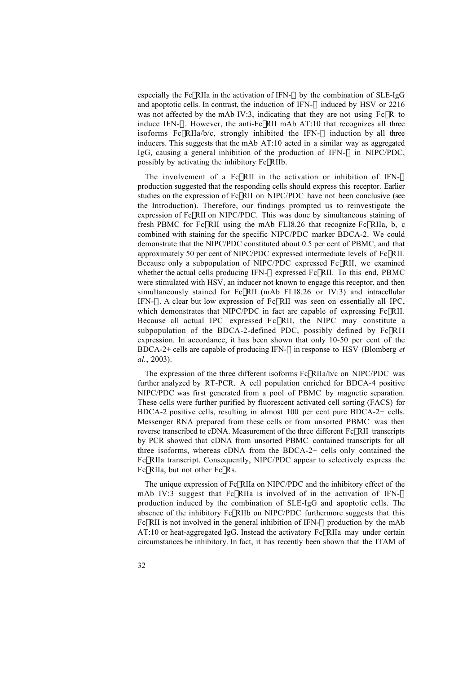especially the Fc $\gamma$ RIIa in the activation of IFN- $\alpha$  by the combination of SLE-IgG and apoptotic cells. In contrast, the induction of IFN- $\alpha$  induced by HSV or 2216 was not affected by the mAb IV:3, indicating that they are not using  $Fc\gamma R$  to induce IFN- $\alpha$ . However, the anti-Fc $\gamma$ RII mAb AT:10 that recognizes all three isoforms Fc $\gamma$ RIIa/b/c, strongly inhibited the IFN- $\alpha$  induction by all three inducers. This suggests that the mAb AT:10 acted in a similar way as aggregated IgG, causing a general inhibition of the production of IFN- $\alpha$  in NIPC/PDC, possibly by activating the inhibitory  $Fc\gamma RIIb$ .

The involvement of a FcyRII in the activation or inhibition of IFN- $\alpha$ production suggested that the responding cells should express this receptor. Earlier studies on the expression of FcyRII on NIPC/PDC have not been conclusive (see the Introduction). Therefore, our findings prompted us to reinvestigate the expression of FcyRII on NIPC/PDC. This was done by simultaneous staining of fresh PBMC for Fc $\gamma$ RII using the mAb FLI8.26 that recognize Fc $\gamma$ RIIa, b, c combined with staining for the specific NIPC/PDC marker BDCA-2. We could demonstrate that the NIPC/PDC constituted about 0.5 per cent of PBMC, and that approximately 50 per cent of NIPC/PDC expressed intermediate levels of  $Fc\gamma RII$ . Because only a subpopulation of NIPC/PDC expressed  $Fc\gamma RII$ , we examined whether the actual cells producing IFN- $\alpha$  expressed Fc $\gamma$ RII. To this end, PBMC were stimulated with HSV, an inducer not known to engage this receptor, and then simultaneously stained for  $Fc\gamma RII$  (mAb FLI8.26 or IV:3) and intracellular IFN- $\alpha$ . A clear but low expression of Fc $\gamma$ RII was seen on essentially all IPC, which demonstrates that NIPC/PDC in fact are capable of expressing  $Fc\gamma RII$ . Because all actual IPC expressed  $FcyRII$ , the NIPC may constitute a subpopulation of the BDCA-2-defined PDC, possibly defined by  $Fc\gamma RII$ expression. In accordance, it has been shown that only 10-50 per cent of the BDCA-2+ cells are capable of producing IFN- $\alpha$  in response to HSV (Blomberg *et al.*, 2003).

The expression of the three different isoforms  $Fc\gamma RIIa/b/c$  on NIPC/PDC was further analyzed by RT-PCR. A cell population enriched for BDCA-4 positive NIPC/PDC was first generated from a pool of PBMC by magnetic separation. These cells were further purified by fluorescent activated cell sorting (FACS) for BDCA-2 positive cells, resulting in almost 100 per cent pure BDCA-2+ cells. Messenger RNA prepared from these cells or from unsorted PBMC was then reverse transcribed to cDNA. Measurement of the three different  $Fc\gamma RII$  transcripts by PCR showed that cDNA from unsorted PBMC contained transcripts for all three isoforms, whereas cDNA from the BDCA-2+ cells only contained the FcgRIIa transcript. Consequently, NIPC/PDC appear to selectively express the  $Fc\gamma RIIa$ , but not other  $Fc\gamma Rs$ .

The unique expression of FcyRIIa on NIPC/PDC and the inhibitory effect of the mAb IV:3 suggest that Fc $\gamma$ RIIa is involved of in the activation of IFN- $\alpha$ production induced by the combination of SLE-IgG and apoptotic cells. The absence of the inhibitory  $Fc\gamma RIIb$  on NIPC/PDC furthermore suggests that this Fc $\gamma$ RII is not involved in the general inhibition of IFN- $\alpha$  production by the mAb  $AT:10$  or heat-aggregated IgG. Instead the activatory  $FcyRIIa$  may under certain circumstances be inhibitory. In fact, it has recently been shown that the ITAM of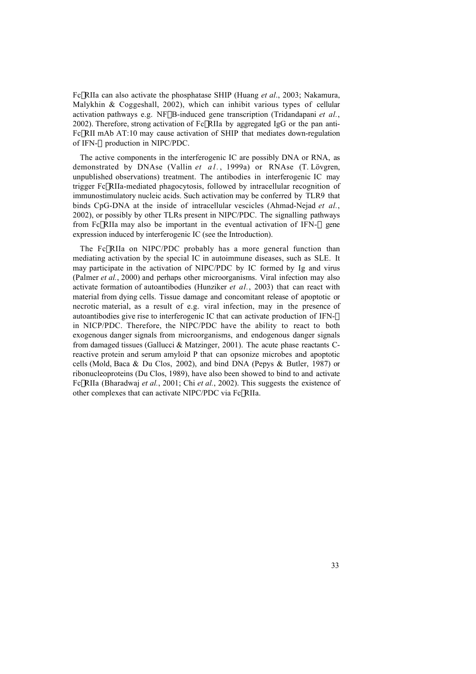FcgRIIa can also activate the phosphatase SHIP (Huang *et al*., 2003; Nakamura, Malykhin & Coggeshall, 2002), which can inhibit various types of cellular activation pathways e.g. NFkB-induced gene transcription (Tridandapani *et al.*, 2002). Therefore, strong activation of  $Fc\gamma RIIa$  by aggregated IgG or the pan anti-FcgRII mAb AT:10 may cause activation of SHIP that mediates down-regulation of IFN- $\alpha$  production in NIPC/PDC.

The active components in the interferogenic IC are possibly DNA or RNA, as demonstrated by DNAse (Vallin et al., 1999a) or RNAse (T. Lövgren, unpublished observations) treatment. The antibodies in interferogenic IC may trigger FcgRIIa-mediated phagocytosis, followed by intracellular recognition of immunostimulatory nucleic acids. Such activation may be conferred by TLR9 that binds CpG-DNA at the inside of intracellular vescicles (Ahmad-Nejad *et al.*, 2002), or possibly by other TLRs present in NIPC/PDC. The signalling pathways from FcyRIIa may also be important in the eventual activation of IFN- $\alpha$  gene expression induced by interferogenic IC (see the Introduction).

The FcyRIIa on NIPC/PDC probably has a more general function than mediating activation by the special IC in autoimmune diseases, such as SLE. It may participate in the activation of NIPC/PDC by IC formed by Ig and virus (Palmer *et al.*, 2000) and perhaps other microorganisms. Viral infection may also activate formation of autoantibodies (Hunziker *et al.*, 2003) that can react with material from dying cells. Tissue damage and concomitant release of apoptotic or necrotic material, as a result of e.g. viral infection, may in the presence of autoantibodies give rise to interferogenic IC that can activate production of IFN- $\alpha$ in NICP/PDC. Therefore, the NIPC/PDC have the ability to react to both exogenous danger signals from microorganisms, and endogenous danger signals from damaged tissues (Gallucci & Matzinger, 2001). The acute phase reactants Creactive protein and serum amyloid P that can opsonize microbes and apoptotic cells (Mold, Baca & Du Clos, 2002), and bind DNA (Pepys & Butler, 1987) or ribonucleoproteins (Du Clos, 1989), have also been showed to bind to and activate FcgRIIa (Bharadwaj *et al.*, 2001; Chi *et al.*, 2002). This suggests the existence of other complexes that can activate NIPC/PDC via FcyRIIa.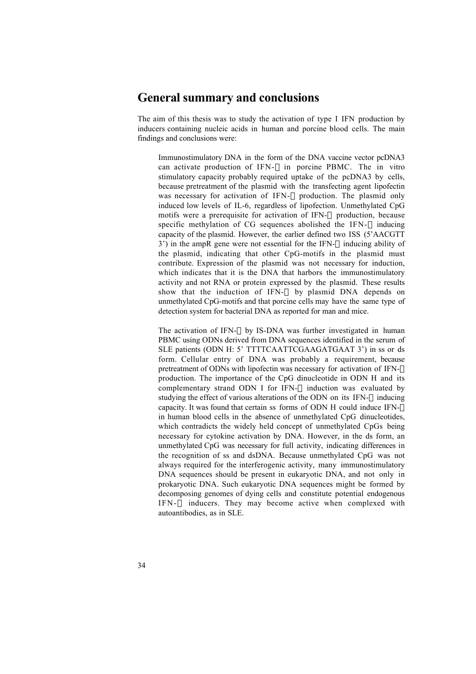## **General summary and conclusions**

The aim of this thesis was to study the activation of type I IFN production by inducers containing nucleic acids in human and porcine blood cells. The main findings and conclusions were:

- Immunostimulatory DNA in the form of the DNA vaccine vector pcDNA3 can activate production of IFN- $\alpha$  in porcine PBMC. The in vitro stimulatory capacity probably required uptake of the pcDNA3 by cells, because pretreatment of the plasmid with the transfecting agent lipofectin was necessary for activation of IFN- $\alpha$  production. The plasmid only induced low levels of IL-6, regardless of lipofection. Unmethylated CpG motifs were a prerequisite for activation of IFN- $\alpha$  production, because specific methylation of CG sequences abolished the IFN- $\alpha$  inducing capacity of the plasmid. However, the earlier defined two ISS (5'AACGTT 3') in the ampR gene were not essential for the IFN- $\alpha$  inducing ability of the plasmid, indicating that other CpG-motifs in the plasmid must contribute. Expression of the plasmid was not necessary for induction, which indicates that it is the DNA that harbors the immunostimulatory activity and not RNA or protein expressed by the plasmid. These results show that the induction of IFN- $\alpha$  by plasmid DNA depends on unmethylated CpG-motifs and that porcine cells may have the same type of detection system for bacterial DNA as reported for man and mice.
- The activation of IFN- $\alpha$  by IS-DNA was further investigated in human PBMC using ODNs derived from DNA sequences identified in the serum of SLE patients (ODN H: 5' TTTTCAATTCGAAGATGAAT 3') in ss or ds form. Cellular entry of DNA was probably a requirement, because pretreatment of ODNs with lipofectin was necessary for activation of IFN- $\alpha$ production. The importance of the CpG dinucleotide in ODN H and its complementary strand ODN I for IFN- $\alpha$  induction was evaluated by studying the effect of various alterations of the ODN on its IFN- $\alpha$  inducing capacity. It was found that certain ss forms of ODN H could induce IFN- $\alpha$ in human blood cells in the absence of unmethylated CpG dinucleotides, which contradicts the widely held concept of unmethylated CpGs being necessary for cytokine activation by DNA. However, in the ds form, an unmethylated CpG was necessary for full activity, indicating differences in the recognition of ss and dsDNA. Because unmethylated CpG was not always required for the interferogenic activity, many immunostimulatory DNA sequences should be present in eukaryotic DNA, and not only in prokaryotic DNA. Such eukaryotic DNA sequences might be formed by decomposing genomes of dying cells and constitute potential endogenous IFN- $\alpha$  inducers. They may become active when complexed with autoantibodies, as in SLE.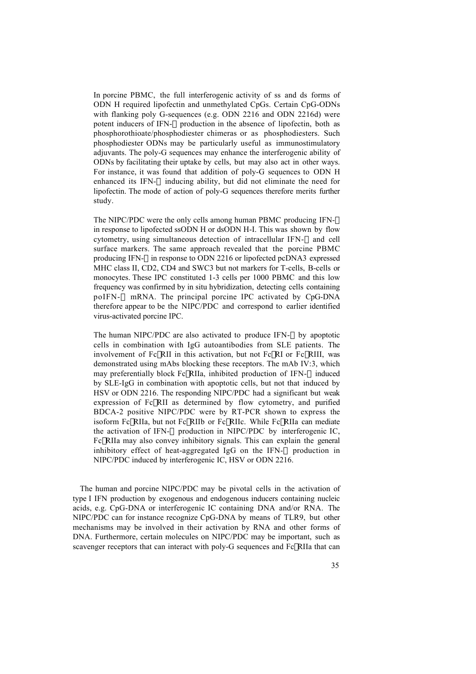- In porcine PBMC, the full interferogenic activity of ss and ds forms of ODN H required lipofectin and unmethylated CpGs. Certain CpG-ODNs with flanking poly G-sequences (e.g. ODN 2216 and ODN 2216d) were potent inducers of IFN- $\alpha$  production in the absence of lipofectin, both as phosphorothioate/phosphodiester chimeras or as phosphodiesters. Such phosphodiester ODNs may be particularly useful as immunostimulatory adjuvants. The poly-G sequences may enhance the interferogenic ability of ODNs by facilitating their uptake by cells, but may also act in other ways. For instance, it was found that addition of poly-G sequences to ODN H enhanced its IFN- $\alpha$  inducing ability, but did not eliminate the need for lipofectin. The mode of action of poly-G sequences therefore merits further study.
- The NIPC/PDC were the only cells among human PBMC producing IFN- $\alpha$ in response to lipofected ssODN H or dsODN H-I. This was shown by flow cytometry, using simultaneous detection of intracellular IFN- $\alpha$  and cell surface markers. The same approach revealed that the porcine PBMC producing IFN- $\alpha$  in response to ODN 2216 or lipofected pcDNA3 expressed MHC class II, CD2, CD4 and SWC3 but not markers for T-cells, B-cells or monocytes. These IPC constituted 1-3 cells per 1000 PBMC and this low frequency was confirmed by in situ hybridization, detecting cells containing  $poIFN-\alpha$  mRNA. The principal porcine IPC activated by CpG-DNA therefore appear to be the NIPC/PDC and correspond to earlier identified virus-activated porcine IPC.
- The human NIPC/PDC are also activated to produce IFN- $\alpha$  by apoptotic cells in combination with IgG autoantibodies from SLE patients. The involvement of Fc $\gamma$ RII in this activation, but not Fc $\gamma$ RI or Fc $\gamma$ RIII, was demonstrated using mAbs blocking these receptors. The mAb IV:3, which may preferentially block Fc $\gamma$ RIIa, inhibited production of IFN- $\alpha$  induced by SLE-IgG in combination with apoptotic cells, but not that induced by HSV or ODN 2216. The responding NIPC/PDC had a significant but weak expression of FcyRII as determined by flow cytometry, and purified BDCA-2 positive NIPC/PDC were by RT-PCR shown to express the isoform FcyRIIa, but not FcyRIIb or FcyRIIc. While FcyRIIa can mediate the activation of IFN- $\alpha$  production in NIPC/PDC by interferogenic IC, FcgRIIa may also convey inhibitory signals. This can explain the general inhibitory effect of heat-aggregated IgG on the IFN- $\alpha$  production in NIPC/PDC induced by interferogenic IC, HSV or ODN 2216.

The human and porcine NIPC/PDC may be pivotal cells in the activation of type I IFN production by exogenous and endogenous inducers containing nucleic acids, e.g. CpG-DNA or interferogenic IC containing DNA and/or RNA. The NIPC/PDC can for instance recognize CpG-DNA by means of TLR9, but other mechanisms may be involved in their activation by RNA and other forms of DNA. Furthermore, certain molecules on NIPC/PDC may be important, such as scavenger receptors that can interact with poly-G sequences and FcyRIIa that can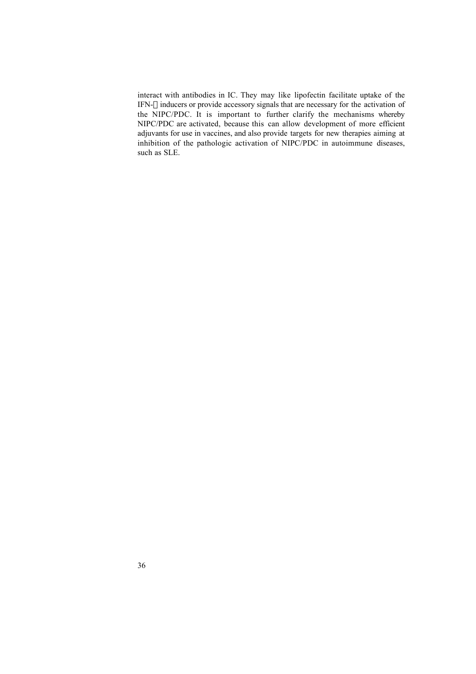interact with antibodies in IC. They may like lipofectin facilitate uptake of the IFN- $\alpha$  inducers or provide accessory signals that are necessary for the activation of the NIPC/PDC. It is important to further clarify the mechanisms whereby NIPC/PDC are activated, because this can allow development of more efficient adjuvants for use in vaccines, and also provide targets for new therapies aiming at inhibition of the pathologic activation of NIPC/PDC in autoimmune diseases, such as SLE.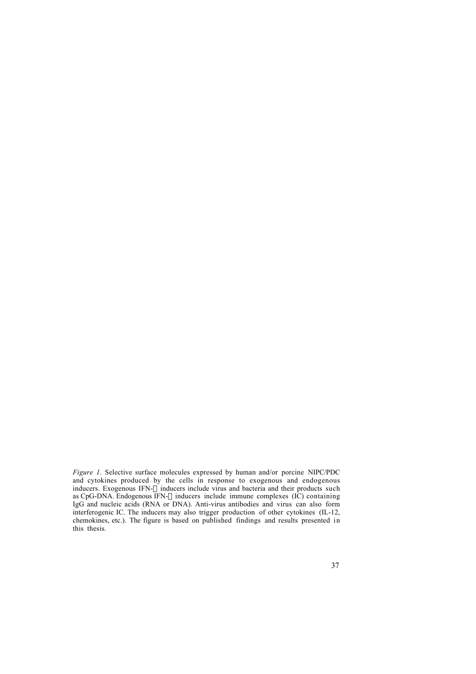*Figure 1*. Selective surface molecules expressed by human and/or porcine NIPC/PDC and cytokines produced by the cells in response to exogenous and endogenous inducers. Exogenous IFN- $\alpha$  inducers include virus and bacteria and their products such as CpG-DNA. Endogenous IFN- $\alpha$  inducers include immune complexes (IC) containing IgG and nucleic acids (RNA or DNA). Anti-virus antibodies and virus can also form interferogenic IC. The inducers may also trigger production of other cytokines (IL-12, chemokines, etc.). The figure is based on published findings and results presented in this thesis.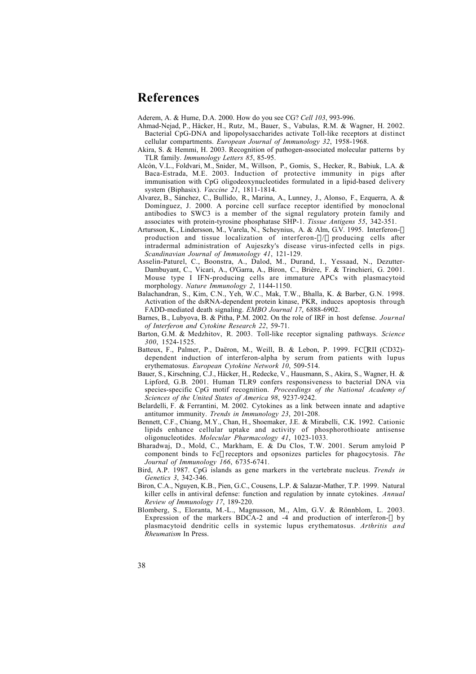# **References**

Aderem, A. & Hume, D.A. 2000. How do you see CG? *Cell 103*, 993-996.

- Ahmad-Nejad, P., Häcker, H., Rutz, M., Bauer, S., Vabulas, R.M. & Wagner, H. 2002. Bacterial CpG-DNA and lipopolysaccharides activate Toll-like receptors at distinct cellular compartments. *European Journal of Immunology 32*, 1958-1968.
- Akira, S. & Hemmi, H. 2003. Recognition of pathogen-associated molecular patterns by TLR family. *Immunology Letters 85*, 85-95.
- Alcón, V.L., Foldvari, M., Snider, M., Willson, P., Gomis, S., Hecker, R., Babiuk, L.A. & Baca-Estrada, M.E. 2003. Induction of protective immunity in pigs after immunisation with CpG oligodeoxynucleotides formulated in a lipid-based delivery system (Biphasix). *Vaccine 21*, 1811-1814.
- Alvarez, B., Sánchez, C., Bullido, R., Marina, A., Lunney, J., Alonso, F., Ezquerra, A. & Domínguez, J. 2000. A porcine cell surface receptor identified by monoclonal antibodies to SWC3 is a member of the signal regulatory protein family and associates with protein-tyrosine phosphatase SHP-1. *Tissue Antigens 55*, 342-351.
- Artursson, K., Lindersson, M., Varela, N., Scheynius, A. & Alm, G.V. 1995. Interferon-a production and tissue localization of interferon- $\alpha/\beta$  producing cells after intradermal administration of Aujeszky's disease virus-infected cells in pigs. *Scandinavian Journal of Immunology 41*, 121-129.
- Asselin-Paturel, C., Boonstra, A., Dalod, M., Durand, I., Yessaad, N., Dezutter-Dambuyant, C., Vicari, A., O'Garra, A., Biron, C., Brière, F. & Trinchieri, G. 2001. Mouse type I IFN-producing cells are immature APCs with plasmacytoid morphology. *Nature Immunology 2*, 1144-1150.
- Balachandran, S., Kim, C.N., Yeh, W.C., Mak, T.W., Bhalla, K. & Barber, G.N. 1998. Activation of the dsRNA-dependent protein kinase, PKR, induces apoptosis through FADD-mediated death signaling. *EMBO Journal 17*, 6888-6902.
- Barnes, B., Lubyova, B. & Pitha, P.M. 2002. On the role of IRF in host defense. *Journal of Interferon and Cytokine Research 22*, 59-71.
- Barton, G.M. & Medzhitov, R. 2003. Toll-like receptor signaling pathways. *Science 300*, 1524-1525.
- Batteux, F., Palmer, P., Daëron, M., Weill, B. & Lebon, P. 1999. FCyRII (CD32)dependent induction of interferon-alpha by serum from patients with lupus erythematosus. *European Cytokine Network 10*, 509-514.
- Bauer, S., Kirschning, C.J., Häcker, H., Redecke, V., Hausmann, S., Akira, S., Wagner, H. & Lipford, G.B. 2001. Human TLR9 confers responsiveness to bacterial DNA via species-specific CpG motif recognition. *Proceedings of the National Academy of Sciences of the United States of America 98*, 9237-9242.
- Belardelli, F. & Ferrantini, M. 2002. Cytokines as a link between innate and adaptive antitumor immunity. *Trends in Immunology 23*, 201-208.
- Bennett, C.F., Chiang, M.Y., Chan, H., Shoemaker, J.E. & Mirabelli, C.K. 1992. Cationic lipids enhance cellular uptake and activity of phosphorothioate antisense oligonucleotides. *Molecular Pharmacology 41*, 1023-1033.
- Bharadwaj, D., Mold, C., Markham, E. & Du Clos, T.W. 2001. Serum amyloid P component binds to Fcg receptors and opsonizes particles for phagocytosis. *The Journal of Immunology 166*, 6735-6741.
- Bird, A.P. 1987. CpG islands as gene markers in the vertebrate nucleus. *Trends in Genetics 3*, 342-346.
- Biron, C.A., Nguyen, K.B., Pien, G.C., Cousens, L.P. & Salazar-Mather, T.P. 1999. Natural killer cells in antiviral defense: function and regulation by innate cytokines. *Annual Review of Immunology 17*, 189-220.
- Blomberg, S., Eloranta, M.-L., Magnusson, M., Alm, G.V. & Rönnblom, L. 2003. Expression of the markers BDCA-2 and -4 and production of interferon- $\alpha$  by plasmacytoid dendritic cells in systemic lupus erythematosus. *Arthritis and Rheumatism* In Press.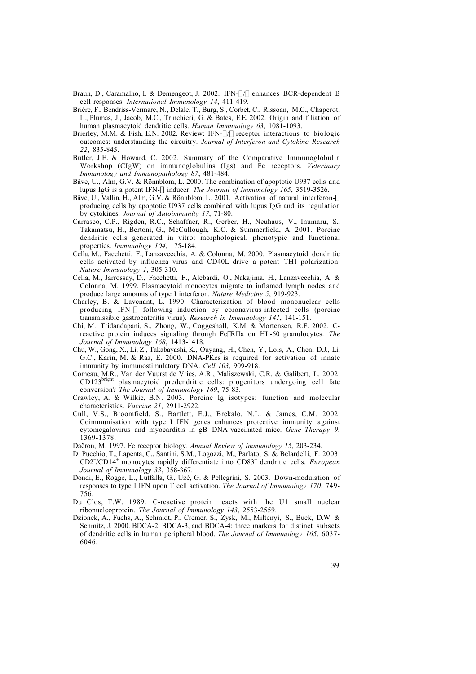- Braun, D., Caramalho, I. & Demengeot, J. 2002. IFN- $\alpha/\beta$  enhances BCR-dependent B cell responses. *International Immunology 14*, 411-419.
- Brière, F., Bendriss-Vermare, N., Delale, T., Burg, S., Corbet, C., Rissoan, M.C., Chaperot, L., Plumas, J., Jacob, M.C., Trinchieri, G. & Bates, E.E. 2002. Origin and filiation of human plasmacytoid dendritic cells. *Human Immunology 63*, 1081-1093.
- Brierley, M.M. & Fish, E.N. 2002. Review: IFN- $\alpha/\beta$  receptor interactions to biologic outcomes: understanding the circuitry. *Journal of Interferon and Cytokine Research 22*, 835-845.
- Butler, J.E. & Howard, C. 2002. Summary of the Comparative Immunoglobulin Workshop (CIgW) on immunoglobulins (Igs) and Fc receptors. *Veterinary Immunology and Immunopathology 87*, 481-484.
- Båve, U., Alm, G.V. & Rönnblom, L. 2000. The combination of apoptotic U937 cells and lupus IgG is a potent IFN- $\alpha$  inducer. *The Journal of Immunology 165*, 3519-3526.
- Båve, U., Vallin, H., Alm, G.V. & Rönnblom, L. 2001. Activation of natural interferon- $\alpha$ producing cells by apoptotic U937 cells combined with lupus IgG and its regulation by cytokines. *Journal of Autoimmunity 17*, 71-80.
- Carrasco, C.P., Rigden, R.C., Schaffner, R., Gerber, H., Neuhaus, V., Inumaru, S., Takamatsu, H., Bertoni, G., McCullough, K.C. & Summerfield, A. 2001. Porcine dendritic cells generated in vitro: morphological, phenotypic and functional properties. *Immunology 104*, 175-184.
- Cella, M., Facchetti, F., Lanzavecchia, A. & Colonna, M. 2000. Plasmacytoid dendritic cells activated by influenza virus and CD40L drive a potent TH1 polarization. *Nature Immunology 1*, 305-310.
- Cella, M., Jarrossay, D., Facchetti, F., Alebardi, O., Nakajima, H., Lanzavecchia, A. & Colonna, M. 1999. Plasmacytoid monocytes migrate to inflamed lymph nodes and produce large amounts of type I interferon. *Nature Medicine 5*, 919-923.
- Charley, B. & Lavenant, L. 1990. Characterization of blood mononuclear cells producing IFN- $\alpha$  following induction by coronavirus-infected cells (porcine transmissible gastroenteritis virus). *Research in Immunology 141*, 141-151.
- Chi, M., Tridandapani, S., Zhong, W., Coggeshall, K.M. & Mortensen, R.F. 2002. Creactive protein induces signaling through FcgRIIa on HL-60 granulocytes. *The Journal of Immunology 168*, 1413-1418.
- Chu, W., Gong, X., Li, Z., Takabayashi, K., Ouyang, H., Chen, Y., Lois, A., Chen, D.J., Li, G.C., Karin, M. & Raz, E. 2000. DNA-PKcs is required for activation of innate immunity by immunostimulatory DNA. *Cell 103*, 909-918.
- Comeau, M.R., Van der Vuurst de Vries, A.R., Maliszewski, C.R. & Galibert, L. 2002. CD123bright plasmacytoid predendritic cells: progenitors undergoing cell fate conversion? *The Journal of Immunology 169*, 75-83.
- Crawley, A. & Wilkie, B.N. 2003. Porcine Ig isotypes: function and molecular characteristics. *Vaccine 21*, 2911-2922.
- Cull, V.S., Broomfield, S., Bartlett, E.J., Brekalo, N.L. & James, C.M. 2002. Coimmunisation with type I IFN genes enhances protective immunity against cytomegalovirus and myocarditis in gB DNA-vaccinated mice. *Gene Therapy 9*, 1369-1378.
- Daëron, M. 1997. Fc receptor biology. *Annual Review of Immunology 15*, 203-234.
- Di Pucchio, T., Lapenta, C., Santini, S.M., Logozzi, M., Parlato, S. & Belardelli, F. 2003. CD2+ /CD14+ monocytes rapidly differentiate into CD83+ dendritic cells. *European Journal of Immunology 33*, 358-367.
- Dondi, E., Rogge, L., Lutfalla, G., Uzé, G. & Pellegrini, S. 2003. Down-modulation of responses to type I IFN upon T cell activation. *The Journal of Immunology 170*, 749- 756.
- Du Clos, T.W. 1989. C-reactive protein reacts with the U1 small nuclear ribonucleoprotein. *The Journal of Immunology 143*, 2553-2559.
- Dzionek, A., Fuchs, A., Schmidt, P., Cremer, S., Zysk, M., Miltenyi, S., Buck, D.W. & Schmitz, J. 2000. BDCA-2, BDCA-3, and BDCA-4: three markers for distinct subsets of dendritic cells in human peripheral blood. *The Journal of Immunology 165*, 6037- 6046.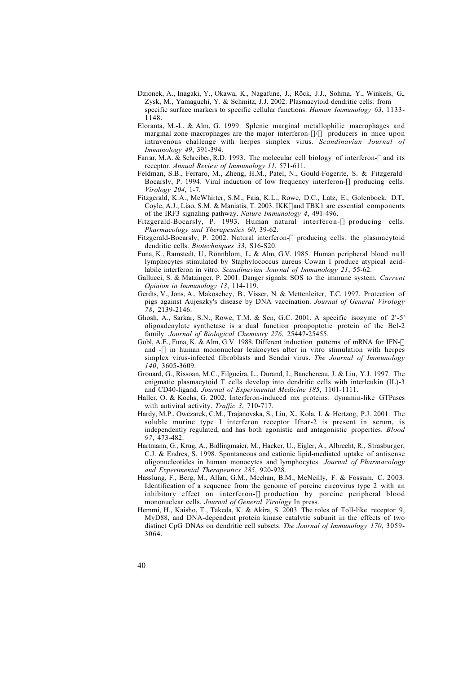- Dzionek, A., Inagaki, Y., Okawa, K., Nagafune, J., Röck, J.J., Sohma, Y., Winkels, G., Zysk, M., Yamaguchi, Y. & Schmitz, J.J. 2002. Plasmacytoid dendritic cells: from specific surface markers to specific cellular functions. *Human Immunology 63*, 1133- 1148.
- Eloranta, M.-L. & Alm, G. 1999. Splenic marginal metallophilic macrophages and marginal zone macrophages are the major interferon- $\alpha/\beta$  producers in mice upon intravenous challenge with herpes simplex virus. *Scandinavian Journal of Immunology 49*, 391-394.
- Farrar, M.A. & Schreiber, R.D. 1993. The molecular cell biology of interferon-g and its receptor. *Annual Review of Immunology 11*, 571-611.
- Feldman, S.B., Ferraro, M., Zheng, H.M., Patel, N., Gould-Fogerite, S. & Fitzgerald-Bocarsly, P. 1994. Viral induction of low frequency interferon- $\alpha$  producing cells. *Virology 204*, 1-7.
- Fitzgerald, K.A., McWhirter, S.M., Faia, K.L., Rowe, D.C., Latz, E., Golenbock, D.T., Coyle, A.J., Liao, S.M. & Maniatis, T. 2003. IKKe and TBK1 are essential components of the IRF3 signaling pathway. *Nature Immunology 4*, 491-496.
- Fitzgerald-Bocarsly, P. 1993. Human natural interferon- $\alpha$  producing cells. *Pharmacology and Therapeutics 60*, 39-62.
- Fitzgerald-Bocarsly, P. 2002. Natural interferon- $\alpha$  producing cells: the plasmacytoid dendritic cells. *Biotechniques 33*, S16-S20.
- Funa, K., Ramstedt, U., Rönnblom, L. & Alm, G.V. 1985. Human peripheral blood null lymphocytes stimulated by Staphylococcus aureus Cowan I produce atypical acidlabile interferon in vitro. *Scandinavian Journal of Immunology 21*, 55-62.
- Gallucci, S. & Matzinger, P. 2001. Danger signals: SOS to the immune system. *Current Opinion in Immunology 13*, 114-119.
- Gerdts, V., Jons, A., Makoschey, B., Visser, N. & Mettenleiter, T.C. 1997. Protection of pigs against Aujeszky's disease by DNA vaccination. *Journal of General Virology 78*, 2139-2146.
- Ghosh, A., Sarkar, S.N., Rowe, T.M. & Sen, G.C. 2001. A specific isozyme of 2'-5' oligoadenylate synthetase is a dual function proapoptotic protein of the Bcl-2 family. *Journal of Biological Chemistry 276*, 25447-25455.
- Gobl, A.E., Funa, K. & Alm, G.V. 1988. Different induction patterns of mRNA for IFN-a and  $-\beta$  in human mononuclear leukocytes after in vitro stimulation with herpes simplex virus-infected fibroblasts and Sendai virus. *The Journal of Immunology 140*, 3605-3609.
- Grouard, G., Rissoan, M.C., Filgueira, L., Durand, I., Banchereau, J. & Liu, Y.J. 1997. The enigmatic plasmacytoid T cells develop into dendritic cells with interleukin (IL)-3 and CD40-ligand. *Journal of Experimental Medicine 185*, 1101-1111.
- Haller, O. & Kochs, G. 2002. Interferon-induced mx proteins: dynamin-like GTPases with antiviral activity. *Traffic 3*, 710-717.
- Hardy, M.P., Owczarek, C.M., Trajanovska, S., Liu, X., Kola, I. & Hertzog, P.J. 2001. The soluble murine type I interferon receptor Ifnar-2 is present in serum, is independently regulated, and has both agonistic and antagonistic properties. *Blood 97*, 473-482.
- Hartmann, G., Krug, A., Bidlingmaier, M., Hacker, U., Eigler, A., Albrecht, R., Strasburger, C.J. & Endres, S. 1998. Spontaneous and cationic lipid-mediated uptake of antisense oligonucleotides in human monocytes and lymphocytes. *Journal of Pharmacology and Experimental Therapeutics 285*, 920-928.
- Hasslung, F., Berg, M., Allan, G.M., Meehan, B.M., McNeilly, F. & Fossum, C. 2003. Identification of a sequence from the genome of porcine circovirus type 2 with an inhibitory effect on interferon- $\alpha$  production by porcine peripheral blood mononuclear cells. *Journal of General Virology* In press.
- Hemmi, H., Kaisho, T., Takeda, K. & Akira, S. 2003. The roles of Toll-like receptor 9, MyD88, and DNA-dependent protein kinase catalytic subunit in the effects of two distinct CpG DNAs on dendritic cell subsets. *The Journal of Immunology 170*, 3059- 3064.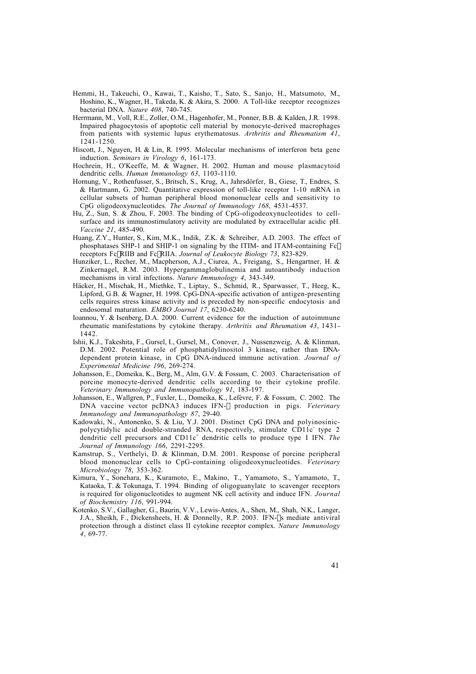- Hemmi, H., Takeuchi, O., Kawai, T., Kaisho, T., Sato, S., Sanjo, H., Matsumoto, M., Hoshino, K., Wagner, H., Takeda, K. & Akira, S. 2000. A Toll-like receptor recognizes bacterial DNA. *Nature 408*, 740-745.
- Herrmann, M., Voll, R.E., Zoller, O.M., Hagenhofer, M., Ponner, B.B. & Kalden, J.R. 1998. Impaired phagocytosis of apoptotic cell material by monocyte-derived macrophages from patients with systemic lupus erythematosus. *Arthritis and Rheumatism 41*, 1241-1250.
- Hiscott, J., Nguyen, H. & Lin, R. 1995. Molecular mechanisms of interferon beta gene induction. *Seminars in Virology 6*, 161-173.
- Hochrein, H., O'Keeffe, M. & Wagner, H. 2002. Human and mouse plasmacytoid dendritic cells. *Human Immunology 63*, 1103-1110.
- Hornung, V., Rothenfusser, S., Britsch, S., Krug, A., Jahrsdörfer, B., Giese, T., Endres, S. & Hartmann, G. 2002. Quantitative expression of toll-like receptor 1-10 mRNA in cellular subsets of human peripheral blood mononuclear cells and sensitivity to CpG oligodeoxynucleotides. *The Journal of Immunology 168*, 4531-4537.
- Hu, Z., Sun, S. & Zhou, F. 2003. The binding of CpG-oligodeoxynucleotides to cellsurface and its immunostimulatory activity are modulated by extracellular acidic pH. *Vaccine 21*, 485-490.
- Huang, Z.Y., Hunter, S., Kim, M.K., Indik, Z.K. & Schreiber, A.D. 2003. The effect of phosphatases SHP-1 and SHIP-1 on signaling by the ITIM- and ITAM-containing Fcg receptors FcgRIIB and FcgRIIA. *Journal of Leukocyte Biology 73*, 823-829.
- Hunziker, L., Recher, M., Macpherson, A.J., Ciurea, A., Freigang, S., Hengartner, H. & Zinkernagel, R.M. 2003. Hypergammaglobulinemia and autoantibody induction mechanisms in viral infections. *Nature Immunology 4*, 343-349.
- Häcker, H., Mischak, H., Miethke, T., Liptay, S., Schmid, R., Sparwasser, T., Heeg, K., Lipford, G.B. & Wagner, H. 1998. CpG-DNA-specific activation of antigen-presenting cells requires stress kinase activity and is preceded by non-specific endocytosis and endosomal maturation. *EMBO Journal 17*, 6230-6240.
- Ioannou, Y. & Isenberg, D.A. 2000. Current evidence for the induction of autoimmune rheumatic manifestations by cytokine therapy. *Arthritis and Rheumatism 43*, 1431- 1442.
- Ishii, K.J., Takeshita, F., Gursel, I., Gursel, M., Conover, J., Nussenzweig, A. & Klinman, D.M. 2002. Potential role of phosphatidylinositol 3 kinase, rather than DNAdependent protein kinase, in CpG DNA-induced immune activation. *Journal of Experimental Medicine 196*, 269-274.
- Johansson, E., Domeika, K., Berg, M., Alm, G.V. & Fossum, C. 2003. Characterisation of porcine monocyte-derived dendritic cells according to their cytokine profile. *Veterinary Immunology and Immunopathology 91*, 183-197.
- Johansson, E., Wallgren, P., Fuxler, L., Domeika, K., Lefèvre, F. & Fossum, C. 2002. The DNA vaccine vector pcDNA3 induces IFN-a production in pigs. *Veterinary Immunology and Immunopathology 87*, 29-40.
- Kadowaki, N., Antonenko, S. & Liu, Y.J. 2001. Distinct CpG DNA and polyinosinicpolycytidylic acid double-stranded RNA, respectively, stimulate CD11c- type 2 dendritic cell precursors and CD11c+ dendritic cells to produce type I IFN. *The Journal of Immunology 166*, 2291-2295.
- Kamstrup, S., Verthelyi, D. & Klinman, D.M. 2001. Response of porcine peripheral blood mononuclear cells to CpG-containing oligodeoxynucleotides. *Veterinary Microbiology 78*, 353-362.
- Kimura, Y., Sonehara, K., Kuramoto, E., Makino, T., Yamamoto, S., Yamamoto, T., Kataoka, T. & Tokunaga, T. 1994. Binding of oligoguanylate to scavenger receptors is required for oligonucleotides to augment NK cell activity and induce IFN. *Journal of Biochemistry 116*, 991-994.
- Kotenko, S.V., Gallagher, G., Baurin, V.V., Lewis-Antes, A., Shen, M., Shah, N.K., Langer, J.A., Sheikh, F., Dickensheets, H. & Donnelly, R.P. 2003. IFN- $\lambda$ s mediate antiviral protection through a distinct class II cytokine receptor complex. *Nature Immunology 4*, 69-77.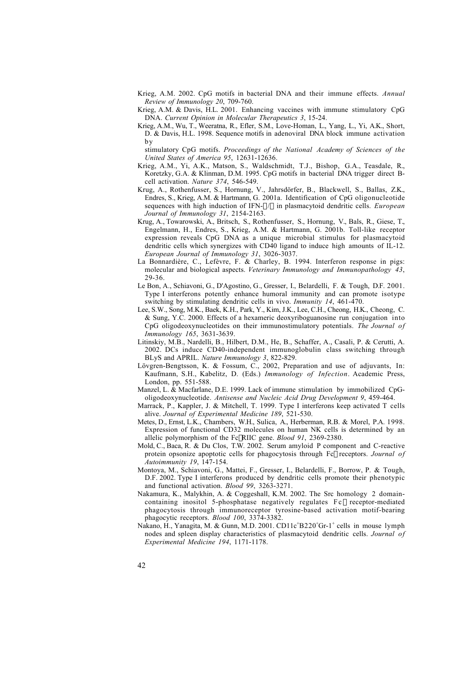- Krieg, A.M. 2002. CpG motifs in bacterial DNA and their immune effects. *Annual Review of Immunology 20*, 709-760.
- Krieg, A.M. & Davis, H.L. 2001. Enhancing vaccines with immune stimulatory CpG DNA. *Current Opinion in Molecular Therapeutics 3*, 15-24.
- Krieg, A.M., Wu, T., Weeratna, R., Efler, S.M., Love-Homan, L., Yang, L., Yi, A.K., Short, D. & Davis, H.L. 1998. Sequence motifs in adenoviral DNA block immune activation by

stimulatory CpG motifs. *Proceedings of the National Academy of Sciences of the United States of America 95*, 12631-12636.

- Krieg, A.M., Yi, A.K., Matson, S., Waldschmidt, T.J., Bishop, G.A., Teasdale, R., Koretzky, G.A. & Klinman, D.M. 1995. CpG motifs in bacterial DNA trigger direct Bcell activation. *Nature 374*, 546-549.
- Krug, A., Rothenfusser, S., Hornung, V., Jahrsdörfer, B., Blackwell, S., Ballas, Z.K., Endres, S., Krieg, A.M. & Hartmann, G. 2001a. Identification of CpG oligonucleotide sequences with high induction of IFN- $\alpha/\beta$  in plasmacytoid dendritic cells. *European Journal of Immunology 31*, 2154-2163.
- Krug, A., Towarowski, A., Britsch, S., Rothenfusser, S., Hornung, V., Bals, R., Giese, T., Engelmann, H., Endres, S., Krieg, A.M. & Hartmann, G. 2001b. Toll-like receptor expression reveals CpG DNA as a unique microbial stimulus for plasmacytoid dendritic cells which synergizes with CD40 ligand to induce high amounts of IL-12. *European Journal of Immunology 31*, 3026-3037.
- La Bonnardière, C., Lefèvre, F. & Charley, B. 1994. Interferon response in pigs: molecular and biological aspects. *Veterinary Immunology and Immunopathology 43*, 29-36.
- Le Bon, A., Schiavoni, G., D'Agostino, G., Gresser, I., Belardelli, F. & Tough, D.F. 2001. Type I interferons potently enhance humoral immunity and can promote isotype switching by stimulating dendritic cells in vivo. *Immunity 14*, 461-470.
- Lee, S.W., Song, M.K., Baek, K.H., Park, Y., Kim, J.K., Lee, C.H., Cheong, H.K., Cheong, C. & Sung, Y.C. 2000. Effects of a hexameric deoxyriboguanosine run conjugation into CpG oligodeoxynucleotides on their immunostimulatory potentials. *The Journal of Immunology 165*, 3631-3639.
- Litinskiy, M.B., Nardelli, B., Hilbert, D.M., He, B., Schaffer, A., Casali, P. & Cerutti, A. 2002. DCs induce CD40-independent immunoglobulin class switching through BLyS and APRIL. *Nature Immunology 3*, 822-829.
- Lövgren-Bengtsson, K. & Fossum, C., 2002, Preparation and use of adjuvants, In: Kaufmann, S.H., Kabelitz, D. (Eds.) *Immunology of Infection*. Academic Press, London, pp. 551-588.
- Manzel, L. & Macfarlane, D.E. 1999. Lack of immune stimulation by immobilized CpGoligodeoxynucleotide. *Antisense and Nucleic Acid Drug Development 9*, 459-464.
- Marrack, P., Kappler, J. & Mitchell, T. 1999. Type I interferons keep activated T cells alive. *Journal of Experimental Medicine 189*, 521-530.
- Metes, D., Ernst, L.K., Chambers, W.H., Sulica, A., Herberman, R.B. & Morel, P.A. 1998. Expression of functional CD32 molecules on human NK cells is determined by an allelic polymorphism of the FcgRIIC gene. *Blood 91*, 2369-2380.
- Mold, C., Baca, R. & Du Clos, T.W. 2002. Serum amyloid P component and C-reactive protein opsonize apoptotic cells for phagocytosis through Fcg receptors. *Journal of Autoimmunity 19*, 147-154.
- Montoya, M., Schiavoni, G., Mattei, F., Gresser, I., Belardelli, F., Borrow, P. & Tough, D.F. 2002. Type I interferons produced by dendritic cells promote their phenotypic and functional activation. *Blood 99*, 3263-3271.
- Nakamura, K., Malykhin, A. & Coggeshall, K.M. 2002. The Src homology 2 domaincontaining inositol 5-phosphatase negatively regulates  $F c \gamma$  receptor-mediated phagocytosis through immunoreceptor tyrosine-based activation motif-bearing phagocytic receptors. *Blood 100*, 3374-3382.
- Nakano, H., Yanagita, M. & Gunn, M.D. 2001. CD11c<sup>+</sup>B220<sup>+</sup>Gr-1<sup>+</sup> cells in mouse lymph nodes and spleen display characteristics of plasmacytoid dendritic cells. *Journal of Experimental Medicine 194*, 1171-1178.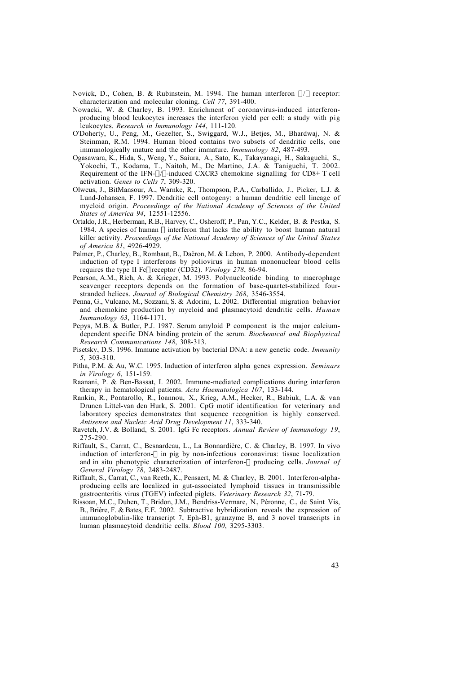Novick, D., Cohen, B. & Rubinstein, M. 1994. The human interferon  $\alpha/\beta$  receptor: characterization and molecular cloning. *Cell 77*, 391-400.

- Nowacki, W. & Charley, B. 1993. Enrichment of coronavirus-induced interferonproducing blood leukocytes increases the interferon yield per cell: a study with pig leukocytes. *Research in Immunology 144*, 111-120.
- O'Doherty, U., Peng, M., Gezelter, S., Swiggard, W.J., Betjes, M., Bhardwaj, N. & Steinman, R.M. 1994. Human blood contains two subsets of dendritic cells, one immunologically mature and the other immature. *Immunology 82*, 487-493.
- Ogasawara, K., Hida, S., Weng, Y., Saiura, A., Sato, K., Takayanagi, H., Sakaguchi, S., Yokochi, T., Kodama, T., Naitoh, M., De Martino, J.A. & Taniguchi, T. 2002. Requirement of the IFN- $\alpha$ / $\beta$ -induced CXCR3 chemokine signalling for CD8+ T cell activation. *Genes to Cells 7*, 309-320.
- Olweus, J., BitMansour, A., Warnke, R., Thompson, P.A., Carballido, J., Picker, L.J. & Lund-Johansen, F. 1997. Dendritic cell ontogeny: a human dendritic cell lineage of myeloid origin. *Proceedings of the National Academy of Sciences of the United States of America 94*, 12551-12556.
- Ortaldo, J.R., Herberman, R.B., Harvey, C., Osheroff, P., Pan, Y.C., Kelder, B. & Pestka, S. 1984. A species of human  $\alpha$  interferon that lacks the ability to boost human natural killer activity. *Proceedings of the National Academy of Sciences of the United States of America 81*, 4926-4929.
- Palmer, P., Charley, B., Rombaut, B., Daëron, M. & Lebon, P. 2000. Antibody-dependent induction of type I interferons by poliovirus in human mononuclear blood cells requires the type II Fcy receptor (CD32). *Virology 278*, 86-94.
- Pearson, A.M., Rich, A. & Krieger, M. 1993. Polynucleotide binding to macrophage scavenger receptors depends on the formation of base-quartet-stabilized fourstranded helices. *Journal of Biological Chemistry 268*, 3546-3554.
- Penna, G., Vulcano, M., Sozzani, S. & Adorini, L. 2002. Differential migration behavior and chemokine production by myeloid and plasmacytoid dendritic cells. *Human Immunology 63*, 1164-1171.
- Pepys, M.B. & Butler, P.J. 1987. Serum amyloid P component is the major calciumdependent specific DNA binding protein of the serum. *Biochemical and Biophysical Research Communications 148*, 308-313.
- Pisetsky, D.S. 1996. Immune activation by bacterial DNA: a new genetic code. *Immunity 5*, 303-310.
- Pitha, P.M. & Au, W.C. 1995. Induction of interferon alpha genes expression. *Seminars in Virology 6*, 151-159.
- Raanani, P. & Ben-Bassat, I. 2002. Immune-mediated complications during interferon therapy in hematological patients. *Acta Haematologica 107*, 133-144.
- Rankin, R., Pontarollo, R., Ioannou, X., Krieg, A.M., Hecker, R., Babiuk, L.A. & van Drunen Littel-van den Hurk, S. 2001. CpG motif identification for veterinary and laboratory species demonstrates that sequence recognition is highly conserved. *Antisense and Nucleic Acid Drug Development 11*, 333-340.
- Ravetch, J.V. & Bolland, S. 2001. IgG Fc receptors. *Annual Review of Immunology 19*, 275-290.
- Riffault, S., Carrat, C., Besnardeau, L., La Bonnardière, C. & Charley, B. 1997. In vivo induction of interferon- $\alpha$  in pig by non-infectious coronavirus: tissue localization and in situ phenotypic characterization of interferon- $\alpha$  producing cells. *Journal of General Virology 78*, 2483-2487.
- Riffault, S., Carrat, C., van Reeth, K., Pensaert, M. & Charley, B. 2001. Interferon-alphaproducing cells are localized in gut-associated lymphoid tissues in transmissible gastroenteritis virus (TGEV) infected piglets. *Veterinary Research 32*, 71-79.
- Rissoan, M.C., Duhen, T., Bridon, J.M., Bendriss-Vermare, N., Péronne, C., de Saint Vis, B., Brière, F. & Bates, E.E. 2002. Subtractive hybridization reveals the expression of immunoglobulin-like transcript 7, Eph-B1, granzyme B, and 3 novel transcripts in human plasmacytoid dendritic cells. *Blood 100*, 3295-3303.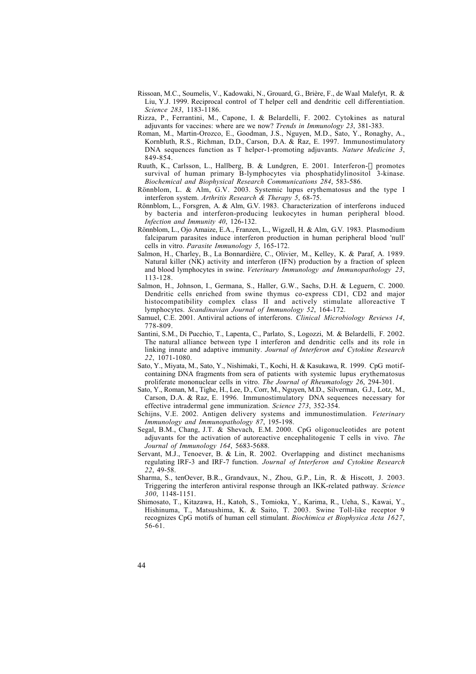- Rissoan, M.C., Soumelis, V., Kadowaki, N., Grouard, G., Brière, F., de Waal Malefyt, R. & Liu, Y.J. 1999. Reciprocal control of T helper cell and dendritic cell differentiation. *Science 283*, 1183-1186.
- Rizza, P., Ferrantini, M., Capone, I. & Belardelli, F. 2002. Cytokines as natural adjuvants for vaccines: where are we now? *Trends in Immunology 23*, 381-383.
- Roman, M., Martin-Orozco, E., Goodman, J.S., Nguyen, M.D., Sato, Y., Ronaghy, A., Kornbluth, R.S., Richman, D.D., Carson, D.A. & Raz, E. 1997. Immunostimulatory DNA sequences function as T helper-1-promoting adjuvants. *Nature Medicine 3*, 849-854.
- Ruuth, K., Carlsson, L., Hallberg, B. & Lundgren, E. 2001. Interferon- $\alpha$  promotes survival of human primary B-lymphocytes via phosphatidylinositol 3-kinase. *Biochemical and Biophysical Research Communications 284*, 583-586.
- Rönnblom, L. & Alm, G.V. 2003. Systemic lupus erythematosus and the type I interferon system. *Arthritis Research & Therapy 5*, 68-75.
- Rönnblom, L., Forsgren, A. & Alm, G.V. 1983. Characterization of interferons induced by bacteria and interferon-producing leukocytes in human peripheral blood. *Infection and Immunity 40*, 126-132.
- Rönnblom, L., Ojo Amaize, E.A., Franzen, L., Wigzell, H. & Alm, G.V. 1983. Plasmodium falciparum parasites induce interferon production in human peripheral blood 'null' cells in vitro. *Parasite Immunology 5*, 165-172.
- Salmon, H., Charley, B., La Bonnardière, C., Olivier, M., Kelley, K. & Paraf, A. 1989. Natural killer (NK) activity and interferon (IFN) production by a fraction of spleen and blood lymphocytes in swine. *Veterinary Immunology and Immunopathology 23*, 113-128.
- Salmon, H., Johnson, I., Germana, S., Haller, G.W., Sachs, D.H. & Leguern, C. 2000. Dendritic cells enriched from swine thymus co-express CD1, CD2 and major histocompatibility complex class II and actively stimulate alloreactive T lymphocytes. *Scandinavian Journal of Immunology 52*, 164-172.
- Samuel, C.E. 2001. Antiviral actions of interferons. *Clinical Microbiology Reviews 14*, 778-809.
- Santini, S.M., Di Pucchio, T., Lapenta, C., Parlato, S., Logozzi, M. & Belardelli, F. 2002. The natural alliance between type I interferon and dendritic cells and its role in linking innate and adaptive immunity. *Journal of Interferon and Cytokine Research 22*, 1071-1080.
- Sato, Y., Miyata, M., Sato, Y., Nishimaki, T., Kochi, H. & Kasukawa, R. 1999. CpG motifcontaining DNA fragments from sera of patients with systemic lupus erythematosus proliferate mononuclear cells in vitro. *The Journal of Rheumatology 26*, 294-301.
- Sato, Y., Roman, M., Tighe, H., Lee, D., Corr, M., Nguyen, M.D., Silverman, G.J., Lotz, M., Carson, D.A. & Raz, E. 1996. Immunostimulatory DNA sequences necessary for effective intradermal gene immunization. *Science 273*, 352-354.
- Schijns, V.E. 2002. Antigen delivery systems and immunostimulation. *Veterinary Immunology and Immunopathology 87*, 195-198.
- Segal, B.M., Chang, J.T. & Shevach, E.M. 2000. CpG oligonucleotides are potent adjuvants for the activation of autoreactive encephalitogenic T cells in vivo. *The Journal of Immunology 164*, 5683-5688.
- Servant, M.J., Tenoever, B. & Lin, R. 2002. Overlapping and distinct mechanisms regulating IRF-3 and IRF-7 function. *Journal of Interferon and Cytokine Research 22*, 49-58.
- Sharma, S., tenOever, B.R., Grandvaux, N., Zhou, G.P., Lin, R. & Hiscott, J. 2003. Triggering the interferon antiviral response through an IKK-related pathway. *Science 300*, 1148-1151.
- Shimosato, T., Kitazawa, H., Katoh, S., Tomioka, Y., Karima, R., Ueha, S., Kawai, Y., Hishinuma, T., Matsushima, K. & Saito, T. 2003. Swine Toll-like receptor 9 recognizes CpG motifs of human cell stimulant. *Biochimica et Biophysica Acta 1627*, 56-61.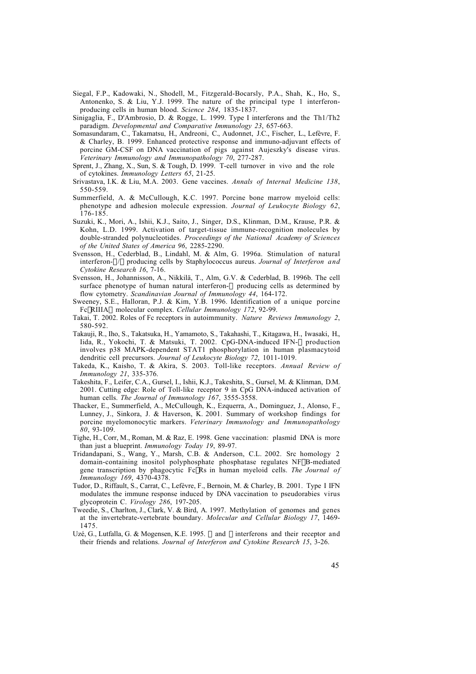- Siegal, F.P., Kadowaki, N., Shodell, M., Fitzgerald-Bocarsly, P.A., Shah, K., Ho, S., Antonenko, S. & Liu, Y.J. 1999. The nature of the principal type 1 interferonproducing cells in human blood. *Science 284*, 1835-1837.
- Sinigaglia, F., D'Ambrosio, D. & Rogge, L. 1999. Type I interferons and the Th1/Th2 paradigm. *Developmental and Comparative Immunology 23*, 657-663.
- Somasundaram, C., Takamatsu, H., Andreoni, C., Audonnet, J.C., Fischer, L., Lefèvre, F. & Charley, B. 1999. Enhanced protective response and immuno-adjuvant effects of porcine GM-CSF on DNA vaccination of pigs against Aujeszky's disease virus. *Veterinary Immunology and Immunopathology 70*, 277-287.
- Sprent, J., Zhang, X., Sun, S. & Tough, D. 1999. T-cell turnover in vivo and the role of cytokines. *Immunology Letters 65*, 21-25.
- Srivastava, I.K. & Liu, M.A. 2003. Gene vaccines. *Annals of Internal Medicine 138*, 550-559.
- Summerfield, A. & McCullough, K.C. 1997. Porcine bone marrow myeloid cells: phenotype and adhesion molecule expression. *Journal of Leukocyte Biology 62*, 176-185.
- Suzuki, K., Mori, A., Ishii, K.J., Saito, J., Singer, D.S., Klinman, D.M., Krause, P.R. & Kohn, L.D. 1999. Activation of target-tissue immune-recognition molecules by double-stranded polynucleotides. *Proceedings of the National Academy of Sciences of the United States of America 96*, 2285-2290.
- Svensson, H., Cederblad, B., Lindahl, M. & Alm, G. 1996a. Stimulation of natural interferon-a/b producing cells by Staphylococcus aureus. *Journal of Interferon and Cytokine Research 16*, 7-16.
- Svensson, H., Johannisson, A., Nikkilä, T., Alm, G.V. & Cederblad, B. 1996b. The cell surface phenotype of human natural interferon- $\alpha$  producing cells as determined by flow cytometry. *Scandinavian Journal of Immunology 44*, 164-172.
- Sweeney, S.E., Halloran, P.J. & Kim, Y.B. 1996. Identification of a unique porcine FcgRIIIAa molecular complex. *Cellular Immunology 172*, 92-99.
- Takai, T. 2002. Roles of Fc receptors in autoimmunity. *Nature Reviews Immunology 2*, 580-592.
- Takauji, R., Iho, S., Takatsuka, H., Yamamoto, S., Takahashi, T., Kitagawa, H., Iwasaki, H., Iida, R., Yokochi, T. & Matsuki, T. 2002. CpG-DNA-induced IFN-a production involves p38 MAPK-dependent STAT1 phosphorylation in human plasmacytoid dendritic cell precursors. *Journal of Leukocyte Biology 72*, 1011-1019.
- Takeda, K., Kaisho, T. & Akira, S. 2003. Toll-like receptors. *Annual Review of Immunology 21*, 335-376.
- Takeshita, F., Leifer, C.A., Gursel, I., Ishii, K.J., Takeshita, S., Gursel, M. & Klinman, D.M. 2001. Cutting edge: Role of Toll-like receptor 9 in CpG DNA-induced activation of human cells. *The Journal of Immunology 167*, 3555-3558.
- Thacker, E., Summerfield, A., McCullough, K., Ezquerra, A., Dominguez, J., Alonso, F., Lunney, J., Sinkora, J. & Haverson, K. 2001. Summary of workshop findings for porcine myelomonocytic markers. *Veterinary Immunology and Immunopathology 80*, 93-109.
- Tighe, H., Corr, M., Roman, M. & Raz, E. 1998. Gene vaccination: plasmid DNA is more than just a blueprint. *Immunology Today 19*, 89-97.
- Tridandapani, S., Wang, Y., Marsh, C.B. & Anderson, C.L. 2002. Src homology 2 domain-containing inositol polyphosphate phosphatase regulates NFkB-mediated gene transcription by phagocytic FcgRs in human myeloid cells. *The Journal of Immunology 169*, 4370-4378.
- Tudor, D., Riffault, S., Carrat, C., Lefèvre, F., Bernoin, M. & Charley, B. 2001. Type I IFN modulates the immune response induced by DNA vaccination to pseudorabies virus glycoprotein C. *Virology 286*, 197-205.
- Tweedie, S., Charlton, J., Clark, V. & Bird, A. 1997. Methylation of genomes and genes at the invertebrate-vertebrate boundary. *Molecular and Cellular Biology 17*, 1469- 1475.
- Uzé, G., Lutfalla, G. & Mogensen, K.E. 1995.  $\alpha$  and  $\beta$  interferons and their receptor and their friends and relations. *Journal of Interferon and Cytokine Research 15*, 3-26.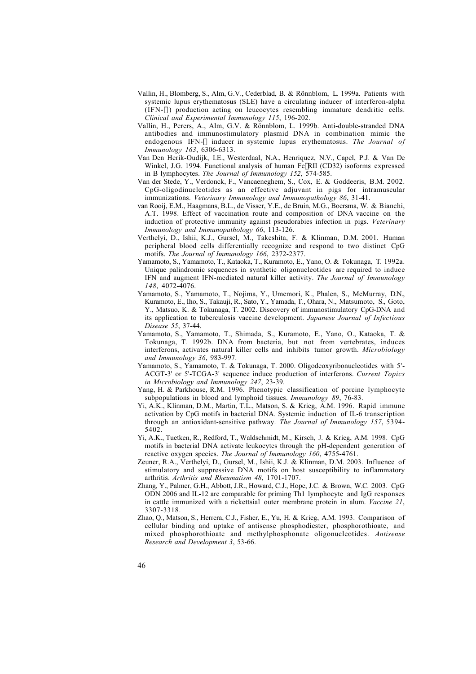- Vallin, H., Blomberg, S., Alm, G.V., Cederblad, B. & Rönnblom, L. 1999a. Patients with systemic lupus erythematosus (SLE) have a circulating inducer of interferon-alpha  $(IFN-\alpha)$  production acting on leucocytes resembling immature dendritic cells. *Clinical and Experimental Immunology 115*, 196-202.
- Vallin, H., Perers, A., Alm, G.V. & Rönnblom, L. 1999b. Anti-double-stranded DNA antibodies and immunostimulatory plasmid DNA in combination mimic the endogenous IFN- $\alpha$  inducer in systemic lupus erythematosus. The Journal of *Immunology 163*, 6306-6313.
- Van Den Herik-Oudijk, I.E., Westerdaal, N.A., Henriquez, N.V., Capel, P.J. & Van De Winkel, J.G. 1994. Functional analysis of human FcyRII (CD32) isoforms expressed in B lymphocytes. *The Journal of Immunology 152*, 574-585.
- Van der Stede, Y., Verdonck, F., Vancaeneghem, S., Cox, E. & Goddeeris, B.M. 2002. CpG-oligodinucleotides as an effective adjuvant in pigs for intramuscular immunizations. *Veterinary Immunology and Immunopathology 86*, 31-41.
- van Rooij, E.M., Haagmans, B.L., de Visser, Y.E., de Bruin, M.G., Boersma, W. & Bianchi, A.T. 1998. Effect of vaccination route and composition of DNA vaccine on the induction of protective immunity against pseudorabies infection in pigs. *Veterinary Immunology and Immunopathology 66*, 113-126.
- Verthelyi, D., Ishii, K.J., Gursel, M., Takeshita, F. & Klinman, D.M. 2001. Human peripheral blood cells differentially recognize and respond to two distinct CpG motifs. *The Journal of Immunology 166*, 2372-2377.
- Yamamoto, S., Yamamoto, T., Kataoka, T., Kuramoto, E., Yano, O. & Tokunaga, T. 1992a. Unique palindromic sequences in synthetic oligonucleotides are required to induce IFN and augment IFN-mediated natural killer activity. *The Journal of Immunology 148*, 4072-4076.
- Yamamoto, S., Yamamoto, T., Nojima, Y., Umemori, K., Phalen, S., McMurray, D.N., Kuramoto, E., Iho, S., Takauji, R., Sato, Y., Yamada, T., Ohara, N., Matsumoto, S., Goto, Y., Matsuo, K. & Tokunaga, T. 2002. Discovery of immunostimulatory CpG-DNA and its application to tuberculosis vaccine development. *Japanese Journal of Infectious Disease 55*, 37-44.
- Yamamoto, S., Yamamoto, T., Shimada, S., Kuramoto, E., Yano, O., Kataoka, T. & Tokunaga, T. 1992b. DNA from bacteria, but not from vertebrates, induces interferons, activates natural killer cells and inhibits tumor growth. *Microbiology and Immunology 36*, 983-997.
- Yamamoto, S., Yamamoto, T. & Tokunaga, T. 2000. Oligodeoxyribonucleotides with 5'- ACGT-3' or 5'-TCGA-3' sequence induce production of interferons. *Current Topics in Microbiology and Immunology 247*, 23-39.
- Yang, H. & Parkhouse, R.M. 1996. Phenotypic classification of porcine lymphocyte subpopulations in blood and lymphoid tissues. *Immunology 89*, 76-83.
- Yi, A.K., Klinman, D.M., Martin, T.L., Matson, S. & Krieg, A.M. 1996. Rapid immune activation by CpG motifs in bacterial DNA. Systemic induction of IL-6 transcription through an antioxidant-sensitive pathway. *The Journal of Immunology 157*, 5394- 5402.
- Yi, A.K., Tuetken, R., Redford, T., Waldschmidt, M., Kirsch, J. & Krieg, A.M. 1998. CpG motifs in bacterial DNA activate leukocytes through the pH-dependent generation of reactive oxygen species. *The Journal of Immunology 160*, 4755-4761.
- Zeuner, R.A., Verthelyi, D., Gursel, M., Ishii, K.J. & Klinman, D.M. 2003. Influence of stimulatory and suppressive DNA motifs on host susceptibility to inflammatory arthritis. *Arthritis and Rheumatism 48*, 1701-1707.
- Zhang, Y., Palmer, G.H., Abbott, J.R., Howard, C.J., Hope, J.C. & Brown, W.C. 2003. CpG ODN 2006 and IL-12 are comparable for priming Th1 lymphocyte and IgG responses in cattle immunized with a rickettsial outer membrane protein in alum. *Vaccine 21*, 3307-3318.
- Zhao, Q., Matson, S., Herrera, C.J., Fisher, E., Yu, H. & Krieg, A.M. 1993. Comparison of cellular binding and uptake of antisense phosphodiester, phosphorothioate, and mixed phosphorothioate and methylphosphonate oligonucleotides. *Antisense Research and Development 3*, 53-66.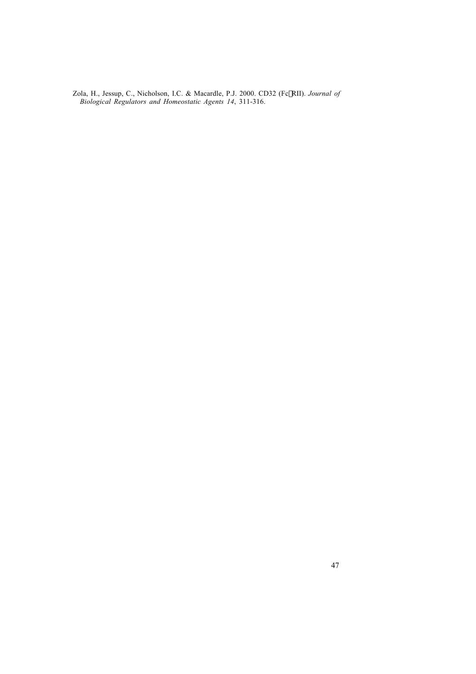Zola, H., Jessup, C., Nicholson, I.C. & Macardle, P.J. 2000. CD32 (FcgRII). *Journal of Biological Regulators and Homeostatic Agents 14*, 311-316.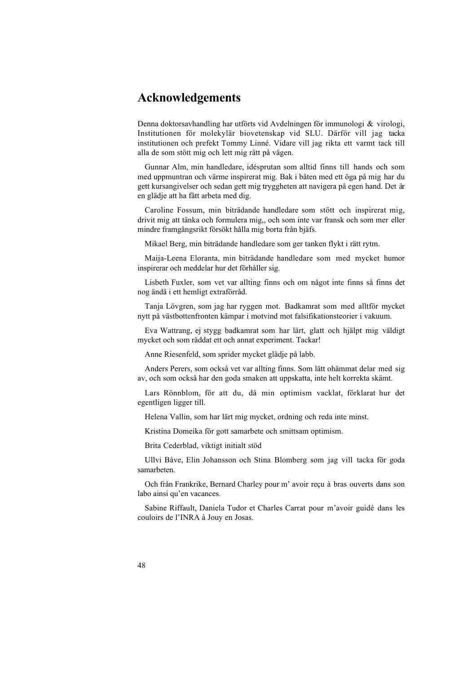# **Acknowledgements**

Denna doktorsavhandling har utförts vid Avdelningen för immunologi & virologi, Institutionen för molekylär biovetenskap vid SLU. Därför vill jag tacka institutionen och prefekt Tommy Linné. Vidare vill jag rikta ett varmt tack till alla de som stött mig och lett mig rätt på vägen.

Gunnar Alm, min handledare, idésprutan som alltid finns till hands och som med uppmuntran och värme inspirerat mig. Bak i båten med ett öga på mig har du gett kursangivelser och sedan gett mig tryggheten att navigera på egen hand. Det är en glädje att ha fått arbeta med dig.

Caroline Fossum, min biträdande handledare som stött och inspirerat mig, drivit mig att tänka och formulera mig,, och som inte var fransk och som mer eller mindre framgångsrikt försökt hålla mig borta från bjäfs.

Mikael Berg, min biträdande handledare som ger tanken flykt i rätt rytm.

Maija-Leena Eloranta, min biträdande handledare som med mycket humor inspirerar och meddelar hur det förhåller sig.

Lisbeth Fuxler, som vet var allting finns och om något inte finns så finns det nog ändå i ett hemligt extraförråd.

Tanja Lövgren, som jag har ryggen mot. Badkamrat som med alltför mycket nytt på västbottenfronten kämpar i motvind mot falsifikationsteorier i vakuum.

Eva Wattrang, ej stygg badkamrat som har lärt, glatt och hjälpt mig väldigt mycket och som räddat ett och annat experiment. Tackar!

Anne Riesenfeld, som sprider mycket glädje på labb.

Anders Perers, som också vet var allting finns. Som lätt ohämmat delar med sig av, och som också har den goda smaken att uppskatta, inte helt korrekta skämt.

Lars Rönnblom, för att du, då min optimism vacklat, förklarat hur det egentligen ligger till.

Helena Vallin, som har lärt mig mycket, ordning och reda inte minst.

Kristina Domeika för gott samarbete och smittsam optimism.

Brita Cederblad, viktigt initialt stöd

Ullvi Båve, Elin Johansson och Stina Blomberg som jag vill tacka för goda samarbeten.

Och från Frankrike, Bernard Charley pour m' avoir reçu à bras ouverts dans son labo ainsi qu'en vacances.

Sabine Riffault, Daniela Tudor et Charles Carrat pour m'avoir guidé dans les couloirs de l'INRA à Jouy en Josas.